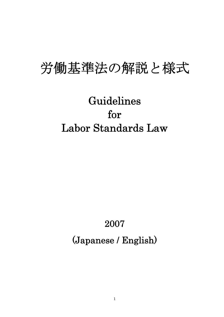# 労働基準法の解説と様式

# Guidelines for Labor Standards Law

# 2007 (Japanese / English)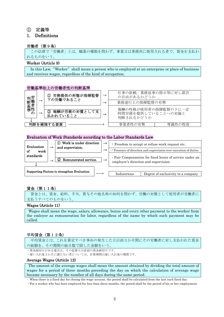## ① 定義等

## 1. Definitions

## 労働者(第9条)

 この法律で「労働者」とは,職業の種類を問わず,事業又は事務所に使用される者で,賃金を支払わ れるものをいう。

## Worker (Article 9)

In this Law, "Worker" shall mean a person who is employed at an enterprise or place of business and receives wages, regardless of the kind of occupation.

## 労働基準法上の労働者性の判断基準



## Evaluation of Work Standards according to the Labor Standards Law



## 賃金(第11条)

賃金とは、賃金、給料、手当、賞与その他名称の如何を問わず、労働の対償として使用者が労働者に 支払うすべてのものをいう。

## Wages (Article 11)

Wages shall mean the wage, salary, allowance, bonus and every other payment to the worker from the emloyer as remuneration for labor, regardless of the name by which such payment may be called.

## 平均賃金(第12条)

平均賃金とは、これを算定すべき事由の発生した日以前3か月間にその労働者に対し支払われた賃金 の総額を、その期間の総日数で除した金額をいう。

・賃金締切日がある場合は、その起算日は直前の賃金締切日です。

・雇い入れ後3か月に満たない者については、計算期間は雇い入れ後の期間です。

## Average Wages (Article 12)

The amount of the average wages shall mean the amount obtained by dividing the total amount of wages for a period of three months preceding the day on which the calculation of average wage became necessary by the number of all days during the same period.

・ When there is a fixed day for closing the wage account, the period shall be calculated from the last such fixed day.

・For a worker who has been employed for less than three months, the period shall be the period of his or her employment.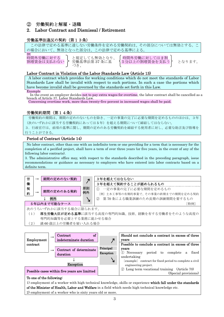## ② 労働契約と解雇・退職

## 2. Labor Contract and Dismissal / Retirement

## 労働基準法違反の契約(第13条)

この法律で定める基準に達しない労働条件を定める労働契約は、その部分については無効とする。 の場合において、無効となった部分は、この法律で定める基準による

/所

づき、

|時間外労働に対する | と規定しても無効となり、 | 時間外労働に対しては2割<br>割増賃金は支払わない ← 労働基準法第37条に基 → 5分以上の割増賃金を支払 割増賃金は支払わない ♪ 労働基準法第 37 条に基 → 15分以上の割増賃金を支払う 。 となります。

## Labor Contract in Violation of the Labor Standards Law (Article 13)

A labor contract which provides for working conditions which do not meet the standards of Labor Standards Law shall be invalid with respect to such portions. In such a case the portions which have become invalid shall be governed by the standards set forth in this Law.

Example

In the event an employer decides not to pay extra wages for overtime, the labor contract shall be cancelled as a breach of Article 37, Labor Standards Law.

Concerning overtime work, more than twenty-five percent in increased wages shall be paid.

## 労働契約期間(第14条)

労働契約の期間は、期間の定めのないものを除き、一定の事業の完了に必要な期間を定めるもののほかは、3年 (次のいずれかに該当する労働契約にあっては 5 年)を超える期間について締結してはならない。 3.行政官庁は、前項の基準に関し、期間の定めのある労働契約を締結する使用者に対し、必要な助言及び指導を 行うことができる。

## Period of Contract (Article 14)

No labor contract, other than one with an indefinite term or one providing for a term that is necessary for the completion of a pecified project, shall have a term of over three years (or five years, in the event of any of the following labor contracts).

3. The administrative office may, with respect to the standards described in the preceding paragraph, issue recommendations or guidance as necessary to employers who have entered into labor contracts based on a definite term.



(2) 満 60 歳以上の労働者を雇い入れる場合



## To one of the following:

1) employment of a worker with high technical knowledge, skills or experience which fall under the standards of the Minister of Health, Labor and Welfare in a field which needs high technical knowledge etc. 2) employment of a worker who is sixty years old or more.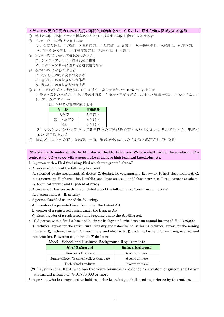| 5年までの契約が認められる高度の専門的知識等を有する者として厚生労働大臣が定める基準            |
|-------------------------------------------------------|
| $\mathbb{O}$<br> 博士の学位(外国において授与されたこれに該当する学位を含む)を有する者  |
| (2)<br>次のいずれかの資格を有する者                                 |
| ア.公認会計士、イ 医師、ウ 歯科医師、エ 獣医師、オ 弁護士、カ 一級建築士、キ 税理士、ク 薬剤師、  |
| ケ.社会保険労務士、コ.不動産鑑定士、サ.技術士、シ.弁理士                        |
| 次のいずれかの能力評価試験の合格者<br>(3)                              |
| ア. システムアナリスト資格試験合格者                                   |
| イ.アクチュアリーに関する資格試験合格者                                  |
| 次のいずれかに該当する者<br>(4)                                   |
| ア.特許法上の特許発明の発明者                                       |
| イ.意匠法上の登録意匠の創作者                                       |
| ウ. 種苗法上の登録品種の育成者                                      |
| (1)一定の学歴及び実務経験(注)を有する次の者で年収が 1075 万円以上の者<br>(5)       |
| ア.農林水産業の技術者、イ.鉱工業の技術者、ウ.機械・雷気技術者、エ.十木・建築技術者、オ.システムエン. |
| ジニア、カ.デザイナー                                           |
| (注)学歴及び実務経験の要件                                        |
| 実務経験<br>学歴                                            |
| 大学卒<br>5年以上                                           |
| 短大・高専卒<br>6年以上                                        |
| 高卒<br>7年以上                                            |
| (2) システムエンジニアとして5年以上の実務経験を有するシステムコンサルタントで、年収が         |

1075 万円以上の者

⑥ 国などによりその有する知識、技術、経験が優れたものであると認定されている者

The standards under which the Minister of Health, Labor and Welfare shall permit the conclusion of a contract up to five years with a person who shall have high technical knowledge, etc.

1. A person with a Ph.d (including Ph.d which was granted abroad)

2. A person with one of the following licenses::

A. certified public accountant, B. doctor, C. dentist, D. veterinarian, E. lawyer, F. first class architect, G. tax accountant, H. pharmacist, I. public consultant on social and labor insurance, J. real estate appraiser, K. technical worker and L. patent attorney.

3. A person who has successfully completed one of the following proficiency examinations:

A. system analyst B. actuary

- 4. A person classified as one of the following:
	- A. inventor of a patented invention under the Patent Act.
	- B. creator of a registered design under the Designs Act.

C. plant breeder of a registered plant breeding under the Seedling Act.

5. (1) A person with a fixed school and business background, who draws an annual income of ¥10,750,000.

A. technical expert for the agricultural, forestry and fisheries industries, B. technical expert for the mining industry, C. technical expert for machinery and electricity, D. technical expert for civil engineering and construction, E. system engineer and F. designer.

|  |  |  |  |  | (Note) School and Business Background Requirements |
|--|--|--|--|--|----------------------------------------------------|
|--|--|--|--|--|----------------------------------------------------|

| .<br><u>outoof and Bashloss Bacheround roquibines</u> |                     |  |  |  |  |  |
|-------------------------------------------------------|---------------------|--|--|--|--|--|
| <b>School Background</b>                              | Business background |  |  |  |  |  |
| University Graduate                                   | 5 years or more     |  |  |  |  |  |
| Junior college / Technical college Graduate           | 6 years or more     |  |  |  |  |  |
| High school Graduate                                  | 7 years or more     |  |  |  |  |  |

(2) A system consultant, who has five years business experience as a system engineer, shall draw an annual income of  $\text{\yen}10,750,000$  or more.

6. A person who is recognized to hold superior knowledge, skills and experience by the nation.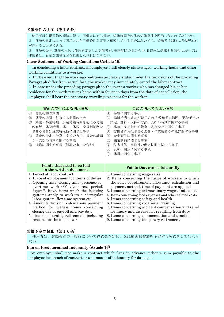## 労働条件の明示(第15条)

使用者は労働契約の締結に際し、労働者に対し賃金、労働時間その他の労働条件を明示しなければならない。 2 前項の規定によって明示された労働条件が事実と相違している場合においては、労働者は即時に労働契約を 解除することができる。

3 前項の場合、就業のために住居を変更した労働者が、契約解除の日から 14 日以内に帰郷する場合においては、 使用者は、必要な旅費などを負担しなければならない。

## Clear Statement of Working Conditions (Article 15)

In concluding a labor contract, an employer shall clearly state wages, working hours and other working conditions to a worker.

2. In the event that the working conditions as clearly stated under the provisions of the preceding Paragraph differ from actual fact, the worker may immediately cancel the labor contract. 3. In case under the preceding paragraph in the event a worker who has changed his or her residence for the work returns home within fourteen days from the date of cancellation, the employer shall bear the necessary traveling expenses for the worker.

| 書面の交付による明示事項              | 口頭の明示でもよい事項                      |
|---------------------------|----------------------------------|
| 労働契約の期間                   | 昇給に関する事項<br>$\langle 1 \rangle$  |
| 就業の場所・従事する業務の内容<br>(2)    | 退職手当の定めが適用される労働者の範囲、退職手当の<br>(2) |
| 始業・終業時刻、所定労働時間を超える労働<br>3 | 決定、計算・支払の方法、支払の時期に関する事項          |
| の有無、休憩時間、休日、休暇、交替制勤務を     | 臨時に支払われる賃金・賞与などに関する事項<br>3       |
| させる場合は就業時転換に関する事項         | 労働者に負担させる食費・作業用品その他に関する事項<br>(4) |
| 4 賃金の決定·計算·支払の方法、賃金の締切    | 安全衛生に関する事項<br>(5)                |
| り・支払の時期に関する事項             | 職業訓練に関する事項<br>$\left( 6\right)$  |
| 退職に関する事項(解雇の事由を含む)<br>(5) | 災害補償、業務外の傷病扶助に関する事項<br>(7)       |
|                           | 表彰、制裁に関する事項<br>(8)               |
|                           | 休職に関する事項<br>(9)                  |

| Points that need to be told<br>in the written ducument                                     | Points that can be told orally                                                                    |
|--------------------------------------------------------------------------------------------|---------------------------------------------------------------------------------------------------|
| 1. Period of labor contract                                                                | 1. Items concerning wage raise                                                                    |
| 2. Place of employment; contents of duties                                                 | 2. Items concerning the range of workers to which                                                 |
| 3. Opening time; closing time; presence of<br>overtime work $\cdot$ (Yes/No); rest period; | the rules of retirement allowance, calculation and<br>payment method, time of payment are applied |
| days off; leave; items which the following                                                 | 3. Items concerning extraordinary wages and bonus                                                 |
| systems apply to workers. $\cdot$ irregular                                                | 4. Items concerning food expenses and other related costs                                         |
| labor system, flex time system etc.                                                        | 5. Items concerning safety and health                                                             |
| 4. Amount; decision, calculation; payment                                                  | 6. Items concerning vocational training                                                           |
| method for wages; items concerning                                                         | 7. Items concerning accident compensation and relief                                              |
| closing day of payroll and pay day.                                                        | for injury and disease not resulting from duty                                                    |
| 5. Items concerning retirement (including)                                                 | 8. Items concerning commendation and sanction                                                     |
| reasons for the dismissal)                                                                 | 9. Items concerning temporary retirement                                                          |

## 賠償予定の禁止(第16条)

使用者は、労働契約の不履行について違約金を定め、又は損害賠償額を予定する契約をしてはなら ない。

## Ban on Predetermined Indemnity (Article 16)

An employer shall not make a contract which fixes in advance either a sum payable to the employer for breach of contract or an amount of indemnity for damages.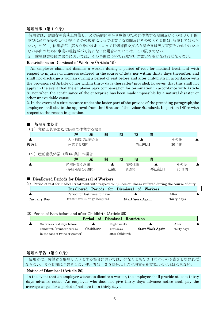## 解雇制限(第19条)

使用者は、労働者が業務上負傷し、又は疾病にかかり療養のために休業する期間及びその後30日間 並びに産前産後の女性が第65条の規定によって休業する期間及びその後30日間は、解雇してはなら ない。ただし、使用者が、第80条の規定によって打切補償を支払う場合又は天災事変その他やむを得 ない事由のために事業の継続が不可能になった場合においては、この限りでない。

2 前項但書後段の場合においては、その事由について行政官庁の認定を受けなければならない。

## Restrictions on Dismissal of Workers (Article 19)

An employer shall not dismiss a worker during a period of rest for medical treatment with respect to injuries or illnesses suffered in the course of duty nor within thirty days thereafter, and shall not discharge a woman during a period of rest before and after childbirth in accordance with the provisions of Article 65 nor within thirty days thereafter; provided, however, that this shall not apply in the event that the employer pays compensation for termination in accordance with Article 81 nor when the continuance of the enterprise has been made impossible by a natural disaster or other unavoidable cause.

2. In the event of a circumstance under the latter part of the proviso of the preceding paragraph,the employer shall obtain the approval from the Director of the Labor Standards Inspection Office with respect to the reason in question.

## 解雇制限期間

(1)業務上負傷または疾病で休業する場合

|     | 解             | 雇   | 制  | 限 | 期    | 間    |      |  |
|-----|---------------|-----|----|---|------|------|------|--|
|     | 入・通院で治療の為     |     |    |   |      |      | その後  |  |
| 被災日 | 休業する期間        |     |    |   | 再出社日 |      | 30日間 |  |
| 2)  | 産前産後休業 (第65条) | の場合 |    |   |      |      |      |  |
|     | 解             | 雇   | 制  | 限 | 期    | 間    |      |  |
|     | 産前休業6週間       |     |    |   | 産後休業 |      | その後  |  |
|     | (多胎妊娠14週間)    |     | 出産 |   | 8週間  | 再出社日 | 30日間 |  |

## ■ Disallowed Periods for Dismissal of Workers

| (1) Period of rest for medical treatment with respect to injuries or illness suffered during the course of duty |                              |                                             |             |  |
|-----------------------------------------------------------------------------------------------------------------|------------------------------|---------------------------------------------|-------------|--|
|                                                                                                                 |                              | Disallowed Periods for Dismissal of Workers |             |  |
|                                                                                                                 | Period for lost time to have |                                             | After       |  |
| <b>Casualty Day</b>                                                                                             | treatment in or go hospital  | <b>Start Work Again</b>                     | thirty days |  |

(2) Period of Rest before and after Childbirth (Article 65)

|                                  |            | Period of Dismissal Restriction |                         |             |  |
|----------------------------------|------------|---------------------------------|-------------------------|-------------|--|
| Six weeks rest days before       |            | Eight weeks                     |                         | After       |  |
| childbirth (Fourteen weeks)      | Childbirth | rest davs                       | <b>Start Work Again</b> | thirty days |  |
| in the case of twins or greater) |            | after childbirth                |                         |             |  |

## 解雇の予告(第20条)

 使用者は、労働者を解雇しようとする場合においては、少なくとも30日前にその予告をしなければ ならない。30日前に予告をしない使用者は、30日分以上の平均賃金を支払わなければならない。

## Notice of Dismissal (Article 20)

In the event that an employer wishes to dismiss a worker, the employer shall provide at least thirty days advance notice. An employer who does not give thirty days advance notice shall pay the average wages for a period of not less than thirty days.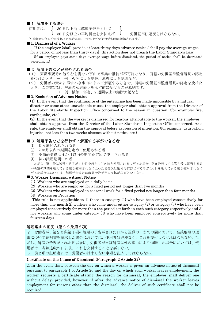## ■1 解雇をする場合

使用者は、 30 日以上前に解雇予告をすれば

30日分以上の平均賃金を支払えば J 労働基準法違反とはならない。

(平均賃金を何日分か支払った場合には、その日数分だけ予告期間が短縮されます。)

## ■1. Dismissal of a Worker

If the employer {shall provide at least thirty days advance notice / shall pay the average wages for a period of not less than thirty days}, this action does not breach the Labor Standards Law. (If an employer pays some days average wage before dismissal, the period of notice shall be decreased accordingly.)

## ■2 解雇予告などが除外される場合

(1) 天災事変その他やむを得ない事由で事業の継続が不可能となり、所轄の労働基準監督署長の認定 を受けたとき → 例;火災による焼失、地震による倒壊など。

(2) 労働者の責めに帰すべき事由によって解雇するときで、所轄の労働基準監督署長の認定を受けた とき。この認定は、解雇の意思表示をなす前に受けるのが原則です。

例;横領・傷害、2 週間以上の無断欠勤など

## ■2. Exclusion of Advance Notice

(1) In the event that the continuance of the enterprise has been made impossible by a natural disaster or some other unavoidable cause, the employer shall obtain approval from the Director of the Labor Standards Inspection Office concerned to the reason in question. (for example: fire, earthquake, etc.)

(2) In the event that the worker is dismissed for reasons attributable to the worker, the employer shall obtain approval from the Director of the Labor Standards Inspection Office concerned. As a rule, the employer shall obtain the approval before expression of intention. (for example: usurpation, injuries, not less than two weeks absence without notice, etc.)

## ■3 解雇予告などを行わずに解雇する事ができる者

- ① 日々雇い入れられる者
- ② 2 か月以内の期間を定めて使用される者
- ③ 季節的業務に 4 か月以内の期間を定めて使用される者
- ④ 試の試用期間中の者

ただし、第 1 号に該当する者が 1 か月を超えて引き続き使用されるに至った場合、第 2 号若しくは第 3 号に該当する者 が所定の期間を超えて引き続き使用されるに至った場合又は第 4 号に該当する者が 14 日を超えて引き続き使用されるに 至った場合においては、解雇予告または解雇予告手当の支払が必要となります。

## ■3. Worker Dismissal without Notice

- (1) Workers who are employed on a daily basis
- (2) Workers who are employed for a fixed period not longer than two months
- (3) Workers who are employed in seasonal work for a fixed period not longer than four months
- (4) Workers on Probation

This rule is not applicable to 1) those in category (1) who have been employed consecutively for more than one-month 2) workers who come under either category (2) or category (3) who have been employed consecutively for more than the period set forth in each such category respectively and 3) nor workers who come under category (4) who have been employed consecutively for more than fourteen days.

## 解雇理由の証明(第22条第2項)

2 労働者が、第20条第1項の解雇の予告がされた日から退職の日までの間において、当該解雇の理 由について証明書を請求した場合においては、使用者は遅滞なく、これを交付しなければならない。た だし、解雇の予告がされた日以後に、労働者が当該解雇以外の事由により退職した場合においては、使 用者は、当該退職の日以後、これを交付することを要しない。

3 前2項の証明書には、労働者の請求しない事項を記入してはならない。

## Certificate on the Cause of Dismissal (Paragraph 2 Article 22)

2. In the event that, between the day on which a worker is given an advance notice of dismissal pursuant to paragraph 1 of Article 20 and the day on which such worker leaves employment, the worker requests a certificate stating the reason for dismissal, the employer shall deliver one without delay; provided, however, if after the advance notice of dismissal the worker leaves employment for reasons other than the dismissal, the deliver of such certificate shall not be required.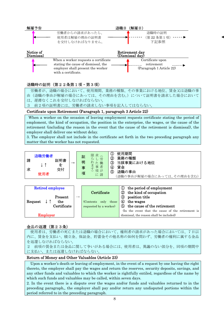| 解雇予告                   |                                                                                                                  | 退職日 | (解雇日)                                                      |
|------------------------|------------------------------------------------------------------------------------------------------------------|-----|------------------------------------------------------------|
|                        | 労働者からの請求があったら、<br>使用者は解雇の理由の証明書                                                                                  |     | 退職時の証明<br>(第22条第1項)                                        |
|                        | を交付しなければなりません。                                                                                                   |     | 下記参照                                                       |
| Notice of<br>Dismissal |                                                                                                                  |     | Retirement day<br>(Dismissal day)                          |
|                        | When a worker requests a certificate<br>stating the cause of dismissal, the<br>employer shall present the worker |     | Certificate upon<br>retirement<br>(Paragraph 1 Article 22) |

## 退職時の証明(第22条第1項・第3項)

労働者が、退職の場合において、使用期間、業務の種類、その事業における地位、賃金又は退職の事 由(退職の事由が解雇の場合にあっては、その理由を含む。)について証明書を請求した場合において は、遅滞なくこれを交付しなければならない。

3 前2項の証明書には、労働者の請求しない事項を記入してはならない。

## Certificate upon Retirement (Paragraph 1, paragraph 3 Article 22)

When a worker on the occasion of leaving employment requests certificate stating the period of emploment, the kind of occupation, the position in the enterprise, the wages, or the cause of the retirement (including the reason in the event that the cause of the retirement is dismissal), the employer shall deliver one without delay.

3. The employer shall not include in the certificate set forth in the two preceding paragraph any matter that the worker has not requested.





## 金品の返還(第23条)

使用者は、労働者の死亡または退職の場合において、権利者の請求があった場合においては、7日以 内に、賃金を支払い、積立金、保証金、貯蓄金その他名称の如何を問わず、労働者の権利に属する金品 を返還しなければならない。 2 前項の賃金または金品に関して争いがある場合には、使用者は、異議のない部分を、同項の期間中

に支払い、または返還しなければならない。

## Return of Money and Other Valuables (Article 23)

Upon a worker's death or leaving of employment, in the event of a request by one having the right thereto, the employer shall pay the wages and return the reserves, security deposits, savings, and any other funds and valuables to which the worker is rightfully entiled, regardless of the name by which such funds and valuables may be called, within seven days.

2. In the event there is a dispute over the wages and/or funds and valuables returned to in the preceding paragraph,, the employer shall pay and/or return any undisputed portions within the period referred to in the preceding paragraph.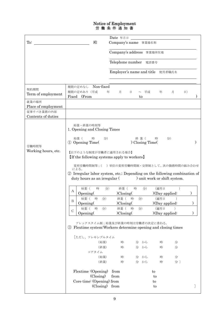## Notice of Employment 労 働 条 件 通 知 書

|                                  |                                                         |                                                                              | Date 年月日                                                                                                                                                                                                                                                             |                              |                                    |                        |   |
|----------------------------------|---------------------------------------------------------|------------------------------------------------------------------------------|----------------------------------------------------------------------------------------------------------------------------------------------------------------------------------------------------------------------------------------------------------------------|------------------------------|------------------------------------|------------------------|---|
| To:                              |                                                         | 殿                                                                            | Company's name 事業場名称                                                                                                                                                                                                                                                 |                              |                                    |                        |   |
|                                  |                                                         |                                                                              | Company's address 事業場所在地                                                                                                                                                                                                                                             |                              |                                    |                        |   |
|                                  |                                                         |                                                                              | Telephone number 電話番号                                                                                                                                                                                                                                                |                              |                                    |                        |   |
|                                  |                                                         |                                                                              | Employer's name and title 使用者職氏名                                                                                                                                                                                                                                     |                              |                                    |                        |   |
|                                  |                                                         |                                                                              |                                                                                                                                                                                                                                                                      |                              |                                    |                        |   |
| 契約期間<br>Term of employment       | 期間の定めなし<br>期間の定めあり(平成                                   | Non-fixed<br>年                                                               | 月<br>日                                                                                                                                                                                                                                                               | $\sim$ 平成                    | 年<br>月                             | $\vert$ $\vert$        |   |
| 就業の場所                            | Fixed (From                                             |                                                                              |                                                                                                                                                                                                                                                                      | to                           |                                    |                        |   |
| Place of employment              |                                                         |                                                                              |                                                                                                                                                                                                                                                                      |                              |                                    |                        |   |
| 従事すべき業務の内容<br>Contents of duties |                                                         |                                                                              |                                                                                                                                                                                                                                                                      |                              |                                    |                        |   |
| 労働時間等<br>Working hours, etc.     | 始業 (<br>1 Opening Time<br>による。<br>始業 (<br>А<br>Opening( | 1. Opening and Closing Times<br>時<br>分)<br>【以下のような制度が労働者に適用される場合】<br>時<br>分) | <b>If the following systems apply to workers</b><br>変形労働時間制等;() 単位の変形労働時間制·交替制として、次の勤務時間の組み合わせ<br>2 Irregular labor system, etc.; Depending on the following combination of<br>duty hours as an irregular () unit work or shift system.<br>終業 (<br>時<br>$) Closing($ | 終 業 (<br>Closing Time(<br>分) | 分)<br>時<br>(適用日<br>$(Day$ applied: | $\lambda$<br>$\lambda$ |   |
|                                  | 始業 (<br>B<br>Opening(                                   | 時<br>分)                                                                      | 終業 (<br>時<br>)Closing(                                                                                                                                                                                                                                               | 分                            | (適用日<br>$(Oay$ applied:            | $\lambda$              | , |
|                                  | 始業(                                                     | 時<br>分)                                                                      | 終業 (<br>時                                                                                                                                                                                                                                                            | 分                            | (適用日                               |                        |   |
|                                  | $\mathcal{C}$<br>Opening(                               |                                                                              | ) <i>Closing</i>                                                                                                                                                                                                                                                     |                              | $(Oay)$ applied:                   |                        |   |
|                                  | (3)                                                     | [ただし、フレキシブルタイム<br>(始業)<br>(終業)<br>コアタイム<br>(始業)<br>(終業)                      | フレックスタイム制;始業及び終業の時刻は労働者の決定に委ねる。<br>Flextime system: Workers determine opening and closing times<br>時<br>時<br>時<br>時                                                                                                                                                  | 分 から<br>分 から<br>分 から<br>分 から | 時<br>時<br>時<br>時                   | 分<br>分<br>分<br>分 〕     |   |
|                                  |                                                         | Flextime : (Opening)<br>$\left(\text{Closing}\right)$                        | from<br>from                                                                                                                                                                                                                                                         |                              | $\mathop{\mathrm{to}}$<br>to       |                        |   |
|                                  |                                                         | Core time: (Opening) from                                                    |                                                                                                                                                                                                                                                                      |                              | $\mathop{\mathrm{to}}$             |                        |   |
|                                  |                                                         | (Closing) from                                                               |                                                                                                                                                                                                                                                                      |                              | to                                 |                        |   |

 $\overline{\phantom{a}}$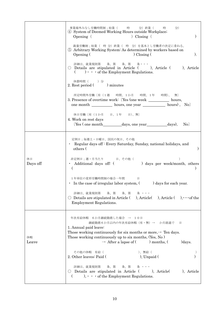|                | 事業場外みなし労働時間制;始業(   時   分)終業(<br>時<br>分<br>4 System of Deemed Working Hours outside Workplace;<br>Opening (<br>$)$ Closing (<br>$\mathcal{E}$<br>裁量労働制;始業( 時 分)終業( 時 分)を基本とし労働者の決定に委ねる。<br>5 Arbitrary Working System: As determined by workers based on<br>).<br>Opening (<br>$\int$ Closing $\int$<br>詳細は、就業規則第 条、第 条、第 条・・・<br>$\circ$ Details are stipulated in Article ( ), Article ( ), Article<br>$($ $) \cdot \cdot \cdot$ of the Employment Regulations. |
|----------------|------------------------------------------------------------------------------------------------------------------------------------------------------------------------------------------------------------------------------------------------------------------------------------------------------------------------------------------------------------------------------------------------------------------------------------------------------------------|
|                | 休憩時間 ( ) 分<br>2. Rest period () minutes<br>所定時間外労働〔有(1週 時間、1か月 時間、1年 時間)、 無〕<br>3. Presence of overtime work: (Yes (one week __________ hours,                                                                                                                                                                                                                                                                                                                   |
|                | one month ____________ hours, one year ______________ hours), No<br>休日労働〔有(1か月 日、1年 日)、無〕<br>4. Work on rest days<br>[Yes (one month days, one year days), No]                                                                                                                                                                                                                                                                                                   |
|                | 定例日;毎週土·日曜日、国民の祝日、その他<br>• Regular days off: Every Saturday, Sunday, national holidays, and<br>others (                                                                                                                                                                                                                                                                                                                                                          |
| 休日<br>Days off | 非定例日;週·月当たり 日、その他(<br>$\cdot$ Additional days off: ( ) days per week/month, others<br>€                                                                                                                                                                                                                                                                                                                                                                          |
|                | 1年単位の変形労働時間制の場合一年間<br>日<br>• In the case of irregular labor system, (<br>) days for each year.                                                                                                                                                                                                                                                                                                                                                                   |
|                | 条、第 条 ・・・<br>詳細は、就業規則第<br>条、第<br>$\bigcirc$ Details are stipulated in Article ( ), Article ( ), Article ( ), $\cdots$ of the<br><b>Employment Regulations.</b>                                                                                                                                                                                                                                                                                                   |
| 休暇<br>Leave    | 年次有給休暇 6か月継続勤務した場合 → 10日<br>継続勤務6か月以内の年次有給休暇 (有・無) → か月経過で<br>日<br>1. Annual paid leave:<br>Those working continuously for six months or more, $\rightarrow$ Ten days.<br>Those working continuously up to six months, (Yes, No)<br>$\rightarrow$ After a lapse of ( ) months, (<br>) days.                                                                                                                                                                      |
|                | その他の休暇 有給(<br>)、無給(<br>$)$ , Unpaid $($<br>2. Other leaves: Paid (                                                                                                                                                                                                                                                                                                                                                                                               |
|                | 詳細は、就業規則第  条、第  条、第<br>条 ・・・<br>$\circ$ Details are stipulated in Article ( ), Article (<br>), Article<br>$\ldots$ , $\cdots$ of the Employment Regulations.<br>$\left($                                                                                                                                                                                                                                                                                         |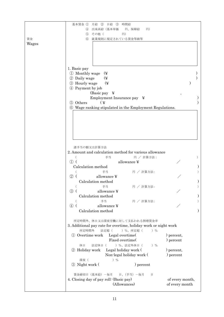|       | 基本賃金 ①<br>月給 ②<br>日給 ③<br>時間給                                   |                 |
|-------|-----------------------------------------------------------------|-----------------|
|       | 出来高給(基本単価<br> H)<br>円、保障給<br>$\left( 4\right)$                  |                 |
|       | その他 (<br> H)<br>(5)                                             |                 |
| 賃金    | $\circled{6}$<br>就業規則に規定されている賃金等級等                              |                 |
| Wages |                                                                 |                 |
|       |                                                                 |                 |
|       |                                                                 |                 |
|       |                                                                 |                 |
|       |                                                                 |                 |
|       |                                                                 |                 |
|       | 1. Basic pay                                                    |                 |
|       | 1 Monthly wage<br>(¥                                            |                 |
|       | 2 Daily wage<br><b>(¥</b>                                       |                 |
|       | 3 Hourly wage<br>(¥                                             |                 |
|       |                                                                 |                 |
|       | 4 Payment by job                                                |                 |
|       |                                                                 |                 |
|       | Employment Insurance pay<br>$\mathbf{\mathbf{\mathbf{\times}}}$ |                 |
|       | 5 Others<br>$\overline{Y}$                                      |                 |
|       | <b>6</b> Wage ranking stipulated in the Employment Regulations. |                 |
|       |                                                                 |                 |
|       |                                                                 |                 |
|       |                                                                 |                 |
|       |                                                                 |                 |
|       |                                                                 |                 |
|       |                                                                 |                 |
|       |                                                                 |                 |
|       |                                                                 |                 |
|       | 諸手当の額又は計算方法                                                     |                 |
|       | 2. Amount and calculation method for various allowance          |                 |
|       | 円 / 計算方法:<br>手当                                                 |                 |
|       | allowance ¥<br>$(1)$ (                                          |                 |
|       | Calculation method                                              |                 |
|       | 手当                                                              |                 |
|       | 円 / 計算方法:                                                       |                 |
|       | $^{\circledR}$<br>allowance ¥                                   |                 |
|       | Calculation method                                              |                 |
|       | 手当<br>円 / 計算方法:                                                 |                 |
|       | ③ (<br>allowance ¥                                              |                 |
|       | Calculation method                                              |                 |
|       | 手当<br>円 / 計算方法:                                                 |                 |
|       | allowance ¥<br>$\circledast$                                    |                 |
|       | Calculation method                                              |                 |
|       |                                                                 |                 |
|       |                                                                 |                 |
|       | 所定時間外、休日又は深夜労働に対して支払われる割増賃金率                                    |                 |
|       | 3. Additional pay rate for overtime, holiday work or night work |                 |
|       | 所定時間外<br>) %、所定超(<br>法定超(<br>$)$ %                              |                 |
|       | 1 Overtime work<br>Legal overtime(                              | ) percent,      |
|       | Fixed overtime(                                                 | ) percent       |
|       | ) %、法定外休日(<br>休日<br>法定休日 (<br>$)$ %                             |                 |
|       | 2 Holiday work<br>Legal holiday work (                          | ) percent,      |
|       | Non-legal holiday work (                                        | ) percent       |
|       |                                                                 |                 |
|       | 深夜 (<br>$)$ %                                                   |                 |
|       | 3 Night work (<br>) percent                                     |                 |
|       |                                                                 |                 |
|       | 賃金締切日 (基本給) 一毎月<br>日、(手当) 一毎月<br>日                              |                 |
|       | 4. Closing day of pay roll: (Basic pay)                         | of every month, |
|       | (Allowances)                                                    | of every month  |
|       |                                                                 |                 |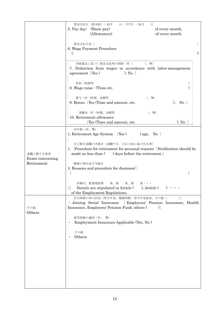|                              | 賃金支払日(基本給)-毎月<br>日、(手当) 一毎月<br>日<br>5. Pay day: (Basic pay)<br>of every month,                                                                                           |
|------------------------------|--------------------------------------------------------------------------------------------------------------------------------------------------------------------------|
|                              | (Allowances)<br>of every month                                                                                                                                           |
|                              | 賃金支払方法(<br>6. Wage Payment Procedure                                                                                                                                     |
|                              | 労使協定に基づく賃金支払時の控除(有( )、無)<br>7. Deduction from wages in accordance with labor-management<br>agreement (Yes)<br>$), No$ )                                                  |
|                              | 昇給 (時間等<br>8. Wage raise : (Time etc.                                                                                                                                    |
|                              | 賞与(有(時期、金額等<br>)、無)<br>$), No$ ]<br>9. Bonus (Yes (Time and amount, etc.                                                                                                 |
|                              | 退職金(有(時期、金額等<br>)、無)<br>10. Retirement allowance<br>(Yes (Time and amount, etc.<br>$), No$ ]                                                                             |
|                              | 定年制 (有、無)<br>1. Retirement Age System [Yes () age, No ]                                                                                                                  |
| 退職に関する事項<br>Items concerning | 自己都合退職の手続き (退職する 日以上前に届け出る事)<br>1. Procedure for retirement for personal reasons [Notification should be<br>made no less than () days before the retirement.             |
| Retirement                   | 解雇の事由及び手続き<br>3. Reasons and procedure for dismissal:                                                                                                                    |
|                              | 詳細は、就業規則第 条、第 条、第<br>条・・・<br>Details are stipulated in Article (<br>), Article (<br>of the Employment Regulations.                                                       |
| その他                          | 社会保険の加入状況〔厚生年金、健康保険、厚生年金基金、その他(<br>$)$ ]<br>· Joining Social Insurance [ Employees' Pension Insurance, Health<br>Insurance, Employees' Pension Fund, others (<br>$\big)$ |
| Others                       | 雇用保険の適用 (有、無)<br>Employment Insurance Applicable (Yes, No)                                                                                                               |
|                              | その他<br>Others                                                                                                                                                            |
|                              |                                                                                                                                                                          |
|                              |                                                                                                                                                                          |
|                              |                                                                                                                                                                          |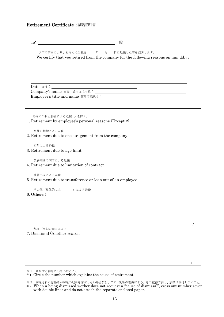## Retirement Certificate 退職証明書

| To:          | 殿<br><u> 1989 - Johann Stein, mars an t-Amerikaansk kommunister (</u>                                                                                                                                                                                                                                                                                                        |  |
|--------------|------------------------------------------------------------------------------------------------------------------------------------------------------------------------------------------------------------------------------------------------------------------------------------------------------------------------------------------------------------------------------|--|
|              | 以下の事由により、あなたは当社を 年 月 日に退職した事を証明します。<br>We certify that you retired from the company for the following reasons on mm.dd.yy                                                                                                                                                                                                                                                    |  |
|              |                                                                                                                                                                                                                                                                                                                                                                              |  |
|              | Date $\overline{B}$ $\overline{C}$ $\overline{C}$ $\overline{C}$ $\overline{C}$ $\overline{C}$ $\overline{C}$ $\overline{C}$ $\overline{C}$ $\overline{C}$ $\overline{C}$ $\overline{C}$ $\overline{C}$ $\overline{C}$ $\overline{C}$ $\overline{C}$ $\overline{C}$ $\overline{C}$ $\overline{C}$ $\overline{C}$ $\overline{C}$ $\overline{C}$ $\overline{C}$ $\overline{C}$ |  |
|              | あなたの自己都合による退職 (2を除く)<br>1. Retirement by employee's personal reasons (Except 2)                                                                                                                                                                                                                                                                                              |  |
| 当社の勧奨による退職   | 2. Retirement due to encouragement from the company                                                                                                                                                                                                                                                                                                                          |  |
| 定年による退職      | 3. Retirement due to age limit                                                                                                                                                                                                                                                                                                                                               |  |
| 契約期間の満了による退職 | 4. Retirement due to limitation of contract                                                                                                                                                                                                                                                                                                                                  |  |
| 移籍出向による退職    | 5. Retirement due to transference or loan out of an employee                                                                                                                                                                                                                                                                                                                 |  |
| 6. Others (  | その他 (具体的には )による退職                                                                                                                                                                                                                                                                                                                                                            |  |
|              |                                                                                                                                                                                                                                                                                                                                                                              |  |
| 解雇(別紙の理由による  | 7. Dismissal (Another reason                                                                                                                                                                                                                                                                                                                                                 |  |
|              |                                                                                                                                                                                                                                                                                                                                                                              |  |
|              |                                                                                                                                                                                                                                                                                                                                                                              |  |

※1 該当する番号に○をつけること

# 1. Circle the number which explains the cause of retirement.

<sup>※2</sup> 解雇された労働者が解雇の理由を請求しない場合には、7の「別紙の理由による」を二重線で消し、別紙は交付しないこと。 # 2. When a being dismissed worker does not request a "cause of dismissal", cross out number seven with double lines and do not attach the separate enclosed paper.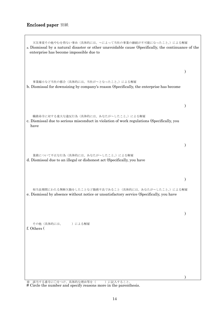## Enclosed paper 別紙

 $\Gamma$ 

| 天災事変その他やむを得ない事由(具体的には、~によって当社の事業の継続が不可能になったこと。)による解雇<br>a. Dismissal by a natural disaster or other unavoidable cause (Specifically, the continuance of the<br>enterprise has become impossible due to |  |
|--------------------------------------------------------------------------------------------------------------------------------------------------------------------------------------------------------|--|
|                                                                                                                                                                                                        |  |
| 事業縮小など当社の都合(具体的には、当社がへとなったこと。)による解雇<br>b. Dismissal for downsizing by company's reason (Specifically, the enterprise has become                                                                        |  |
|                                                                                                                                                                                                        |  |
| 職務命令に対する重大な違反行為(具体的には、あなたが~したこと。)による解雇<br>c. Dismissal due to serious misconduct in violation of work regulations (Specifically, you<br>have                                                           |  |
|                                                                                                                                                                                                        |  |
| 業務について不正な行為(具体的には、あなたが~したこと。)による解雇<br>d. Dismissal due to an illegal or dishonest act (Specifically, you have                                                                                          |  |
|                                                                                                                                                                                                        |  |
| 相当長期間にわたる無断欠勤をしたことなど勤務不良であること(具体的には、あなたが~したこと。)による解雇<br>e. Dismissal by absence without notice or unsatisfactory service (Specifically, you have                                                       |  |
|                                                                                                                                                                                                        |  |
| その他(具体的には、 )による解雇<br>f. Others (                                                                                                                                                                       |  |
|                                                                                                                                                                                                        |  |
|                                                                                                                                                                                                        |  |
|                                                                                                                                                                                                        |  |

※ 該当する番号に○をつけ、具体的な理由等を( )に記入すること。 # Circle the number and specify reasons more in the parenthesis.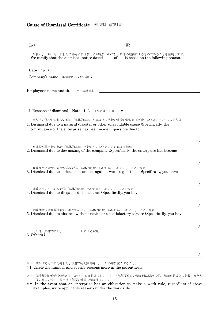## Cause of Dismissal Certificate 解雇理由証明書

| To:                       | 殿<br><u> 1989 - Johann Barbara, martin amerikan basal dan berasal dan berasal dalam basal dalam basal dalam basal dala</u>                                                                                  |  |
|---------------------------|-------------------------------------------------------------------------------------------------------------------------------------------------------------------------------------------------------------|--|
|                           | 当社が、 年 月 日付けであなたに予告した解雇については、以下の理由によるものであることを証明します。<br>We certify that the dismissal notice dated of is based on the following reason.                                                                      |  |
|                           | ${\rm Date}\ \ \texttt{H}\,\texttt{H}\ \texttt{:}\ \ \underline{\hspace{2.5cm}}$                                                                                                                            |  |
|                           |                                                                                                                                                                                                             |  |
|                           | ,我们也不会有一个人的人,我们也不会有一个人的人,我们也不会有一个人的人。""我们,我们也不会有一个人的人,我们也不会有一个人的人。""我们,我们也不会有一个人                                                                                                                            |  |
|                           | [ Reasons of dismissal] Note: 1, 2 [解雇理由] ※1、2                                                                                                                                                              |  |
|                           | 天災その他やむを得ない理由(具体的には、~によって当社の事業の継続が不可能となったこと。)による解雇<br>1. Dismissal due to a natural disaster or other unavoidable cause (Specifically, the<br>continuance of the enterprise has been made impossible due to |  |
|                           | 事業縮小等当社の都合(具体的には、当社が~となったこと)による解雇<br>2. Dismissal due to downsizing of the company (Specifically, the enterprise has become                                                                                 |  |
|                           | 職務命令に対する重大な違反行為(具体的には、あなたがへしたこと。)による解雇<br>3. Dismissal due to serious misconduct against work regulations (Specifically, you have                                                                           |  |
|                           | 業務について不正な行為(具体的には、あなたが~したこと。)による解雇<br>4. Dismissal due to illegal or dishonest act (Specifically, you have                                                                                                  |  |
|                           | 勤務態度又は職務成績が不良であること(具体的には、あなたが~したこと。)による解雇<br>5. Dismissal due to absence without notice or unsatisfactory service (Specifically, you have                                                                   |  |
| その他(具体的には、<br>6. Others ( | )による解雇                                                                                                                                                                                                      |  |
|                           |                                                                                                                                                                                                             |  |

※1 該当するものに○を付け、具体的な理由等を()の中に記入すること。

# 1. Circle the number and specify reasons more in the parenthesis.

<sup>※2</sup> 就業規則の作成を義務付けられている事業場においては、上記解雇理由の記載例に関わらず、当該就業規則に記載された解 雇の事由のうち、該当する解雇の事由を記載すること。

<sup># 2.</sup> In the event that an enterprise has an obligation to make a work rule, regardless of above examples, write applicable reasons under the work rule.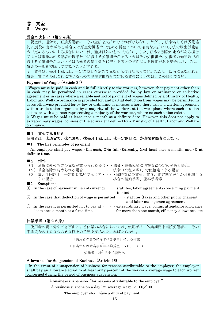## ③ 賃金

## 3. Wages

## 賃金の支払い(第24条)

賃金は、通貨で、直接労働者に、その全額を支払わなければならない。ただし、法令若しくは労働協 約に別段の定めがある場合又は厚生労働省令で定める賃金について確実な支払いの方法で厚生労働省 令で定めるものによる場合においては、通貨以外のもので支払い、また、法令に別段の定めがある場合 又は当該事業場の労働者の過半数で組織する労働組合があるときはその労働組合、労働者の過半数で組 織する労働組合がないときは労働者の過半数を代表する者との書面による協定がある場合においては、 賃金の一部を控除して支払うことができる。

2 賃金は、毎月1回以上、一定の期日を定めて支払わなければならない。ただし、臨時に支払われる 賃金、賞与その他これに準ずるもので厚生労働省令で定める賃金については、この限りでない。

## Payment of Wages (Article 24)

Wages must be paid in cash and in full directly to the workers, however, that payment other than in cash may be permitted in cases otherwise provided for by law or ordinance or collective agreement or in cases where a reliable method of payment of wages defined by a Ministry of Health, Labor and Welfare ordinance is provided for, and partial deduction from wages may be permitted in cases otherwise provided for by law or ordinance or in cases where there exists a written agreement with a trade union organized by a majority of the workers at the workplace, where such a union exists, or with a person representing a majority of the workers, where no such union exists. 2. Wages must be paid at least once a month at a definite date. However, this does not apply to extraordinary wages, bonuses or the equivalent defined by a Ministry of Health, Labor and Welfare ordinance.

## ■1 賃金支払5原則

使用者は ①通貨で、②全額を、③毎月1回以上、④一定期日に、⑤直接労働者に支払う。

## ■1. The five principles of payment

An employer shall pay wages **①in cash, ②in full ③directly, ④at least once a month,** and **⑤ at** definite time.

## ■2 例外

|                                     | (1) 通貨以外のものの支払が認められる場合・・法令・労働協約に現物支給の定めがある場合。<br>(2) 賃金控除が認められる場合 ・ ・・・・法令 (公租公課)、労使協定による場合                                                                                        |
|-------------------------------------|------------------------------------------------------------------------------------------------------------------------------------------------------------------------------------|
| よい場合                                | (3) 毎月1回以上、一定期日払いでなくて・・・・臨時支給の賃金、賞与、査定期間が1か月を超える<br>場合の精勤手当、能率手当等                                                                                                                  |
| $\blacksquare$ 2. Exceptions        |                                                                                                                                                                                    |
|                                     | $\mathbb{D}$ In the case of payment in lieu of currency $\cdots$ statutes, labor agreements concerning payment<br>in kind                                                          |
|                                     | 2 In the case that deduction of wage is permitted $\cdots$ statutes (taxes and other public charges)<br>and labor managemen agreement                                              |
| least once a month or a fixed time. | $\circled{3}$ In the case it is permitted not to pay at $\cdot \cdot \cdot$ extraordinary wage, bonus, attendance allowance<br>for more than one month, efficiency allowance, etc. |

## 休業手当(第26条)

使用者の責に帰すべき事由による休業の場合においては、使用者は、休業期間中当該労働者に、その 平均賃金の100分の60以上の手当を支払わなければならない。

「使用者の責めに帰すべき事由」による休業 ↓ 1日当たりの休業手当=平均賃金×60/100 ↓ 労働者に対する支払義務あり

## Allowance for Suspension of Business (Article 26)

In the event of a suspension of business for reasons attributable to the employer, the employer shall pay an allowance equal to at least sixty percent of the worker's average wage to each worker concerned during the period of business suspension.

A business suspension "for reasons attributable to the employer"<br>  $\Delta$  business suspension a day  $=$  average wage  $\times$  60/100<br>  $\Delta$  The employer shall have a duty of payment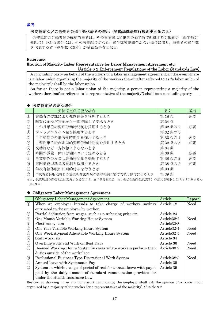参考

## 労使協定などの労働者の過半数代表者の選出(労働基準法施行規則第6条の2)

労使協定の労働者側の締結当事者は、その事業場に労働者の過半数で組織する労働組合(過半数労 働組合)がある場合には、その労働組合がなる。過半数労働組合がない場合に限り、労働者の過半数 を代表する者(過半数代表者)が締結当事者となる。

## Reference

## Election of Majority Labor Representative for Labor-Management Agreement etc. (Article 6-2 Enforcement Regulations of the Labor Standards Law)

A concluding party on behalf of the workers of a labor-management agreement, in the event there is a labor union organizing the majority of the workers (hereinafter referred to as "a labor union of the majority") shall be the labor union.

As far as there is not a labor union of the majority, a person representing a majority of the workers (hereinafter referred to "a representative of the majority") shall be a concluding party.

## ◆ 労使協定が必要な場合

|                                | 労使協定が必要な場合                          | 条文     | 届出 |
|--------------------------------|-------------------------------------|--------|----|
| $\circled{1}$                  | 労働者の委託により社内預金を管理するとき                | 第18条   | 必要 |
| $\circled{2}$                  | 購買代金など賃金から一部控除して支払うとき               | 第 24 条 |    |
| $\circledS$                    | 1か月単位の変形労働時間制を採用するとき                | 第32条の2 | 必要 |
| $\circled{4}$                  | フレックスタイム制を採用するとき                    | 第32条の3 |    |
| $\circledS$                    | 1年単位の変形労働時間制を採用するとき                 | 第32条の4 | 必要 |
| $\circled{6}$                  | 1週間単位の非定型的変形労働時間制を採用するとき            | 第32条の5 | 必要 |
| (7)                            | 交替制など一斉休憩によらないとき                    | 第34条   |    |
| $\circledS$                    | 時間外労働・休日労働について定めるとき                 | 第36条   | 必要 |
| $\circled{9}$                  | 事業場外のみなし労働時間制を採用するとき                | 第38条の2 | 必要 |
| $^{\circledR}$                 | 専門業務型裁量労働制を採用するとき                   | 第38条の3 | 必要 |
| $\textcircled{\scriptsize{1}}$ | 年次有給休暇の計画的付与を行うとき                   | 第39条   |    |
| $\circled{1}$                  | 年次有給休暇取得日の賃金を健康保険の標準報酬日額で支払う制度によるとき | 第39条   |    |

なお、就業規則の作成または変更する場合には、過半数労働組合(ない場合は過半数代表者)の意見を聴取しなければなりません (第 89 条)

## ◆ Obligatory Labor-Management Agreement

|                                   | Obligatory Labor-Management Agreement                                 | Article                  | Report |
|-----------------------------------|-----------------------------------------------------------------------|--------------------------|--------|
| $\circled{1}$                     | When an employer intends to take charge of workers savings            | Article 18               | Need   |
|                                   | entrusted to the employer by worker.                                  |                          |        |
| $^{\circledR}$                    | Partial deduction from wages, such as purchasing price etc.           | Article 24               |        |
| $\circledS$                       | One Month Variable Working Hours System                               | Article 32-2             | Need   |
| $\bigcirc$                        | Flextime system                                                       | Article <sub>32</sub> -3 |        |
| $\circledS$                       | One Year Variable Working Hours System                                | Article <sub>32</sub> -4 | Need   |
| $\circledcirc$                    | One Week Atypical Adjustable Working Hours System                     | Article 32-5             | Need   |
| $\circledT$                       | Shift work, etc.                                                      | Article 34               |        |
| $\circledS$                       | Overtime work and Work on Rest Days                                   | Article 36               | Need   |
| $\circled{9}$                     | Deemed Working Hours System in cases where workers perform their      | Article <sub>38</sub> -2 | Need   |
|                                   | duties outside of the workplace                                       |                          |        |
| $^{\circledR}$                    | Professional Business Type Discretional Work System                   | Article <sub>38</sub> -3 | Need   |
| $^{\textcircled{\scriptsize{1}}}$ | Annual leave with Systematic Pay                                      | Article 39               |        |
| $\circled{1}$                     | System in which a wage of period of rest for annual leave with pay is | Article 39               |        |
|                                   | paid by the daily amount of standard remuneration provided for        |                          |        |
|                                   | under the Health Insurance Law                                        |                          |        |

Besides, in drawing up or changing work regulations, the employer shall ask the opinion of a trade union organized by a majority of the worker (or a representative of the majority). (Article 89)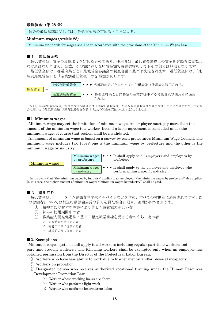## 最低賃金(第 28 条)

賃金の最低基準に関しては、最低賃金法の定めるところによる。

## Minimum wages (Article 28)

Minimum standards for wages shall be in accordance with the provisions of the Minimum Wages Law.

#### ■1 最低賃金額

最低賃金は、賃金の最低限度を定めるものであり、使用者は、最低賃金額以上の賃金を労働者に支払わ なければなりません。当然、その額に達しない賃金額で労働契約をしてもその部分は無効となります。 最低賃金額は、都道府県ごとに最低賃金審議会の調査審議に基づき決定されます。最低賃金には、「地 域別最低賃金」と「産業別最低賃金」の 2 種類があります。



なお、「産業別最低賃金」が適用される場合には「地域別最低賃金」との双方の最低賃金が適用されることになりますが、この場 合は高い方の最低賃金額(「産業別最低賃金額」)以上の賃金を支払わなければなりません。

#### ■1. Minimum wages

Minimum wage may set the limitation of minimum wage. An employer must pay more than the amount of the minimum wage to a worker. Even if a labor agreement is concluded under the minimum wage, of course that section shall be invalidated.

An amount of minimum wage is based on a survey by each prefecture's Minimum Wage Council. The minimum wage includes two types: one is the minimum wage by prefecture and the other is the minimum wage by industry.



In the event that "the minimum wages by industry" applies to an employee, "the minimum wages by prefecture" also applies. In this case, the higher amount of minimum wages ("minimum wages by industry") shall be paid.

#### ■2 滴用除外

最低賃金は、パートタイム労働者や学生アルバイトなどを含め、すべての労働者に適用されますが、次 の労働者については都道府県労働局長の許可を得た場合に限り、適用が除外されます。

- ① 精神または身体の障害により著しく労働能力が低い者
- ② 試みの使用期間中の者
- ③ 職業能力開発促進法に基づく認定職業訓練を受ける者のうち一定の者
	- ア 労働時間が特に短い者
	- イ 軽易な作業に従事する者
	- ウ 継続的労働に従事する者

#### ■2. Exemptions

 Minimum wages system shall apply to all workers including regular part-time workers and part-time student workers . The following workers shall be exempted only when an employer has obtained permission from the Director of the Prefectural Labor Bureau.

- ① Workers who have less ability to work due to his/her mental and/or physical incapacity.
- ② Workers on probation
- ③ Designated person who receives authorized vocational training under the Human Resources Development Promotion Law
	- (a) Worker whose working hours are short.
	- (b) Worker who performs light work
	- (c) Worker who performs intermittent labor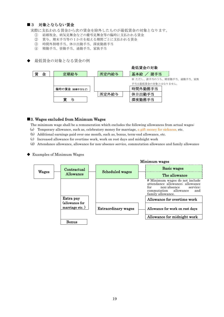## ■3 対象とならない賃金

実際に支払われる賃金から次の賃金を除外したものが最低賃金の対象となります。

- ① 結婚祝金、病気見舞金などの慶弔見舞金等の臨時に支払われる賃金
- ② 賞与、期末手当等の1か月を超える期間ごとに支払われる賃金
- ③ 時間外割増手当、休日出勤手当、深夜勤務手当
- ④ 精勤手当、皆勤手当、通勤手当、家族手当
- 最低賃金の対象となる賃金の例



## ■3. Wages excluded from Minimum Wages

The minimum wage shall be a remuneration which excludes the following allowances from actual wages:

- (a) Temporary allowance, such as, celebratory money for marriage, a gift money for sickness, etc.
- (b) Additional earnings paid over one month, such as, bonus, term-end allowance, etc.
- (c) Increased allowance for overtime work, work on rest days and midnight work
- (d) Attendance allowance, allowance for non-absence service, commutation allowance and family allowance
- ◆ Examples of Minimum Wages

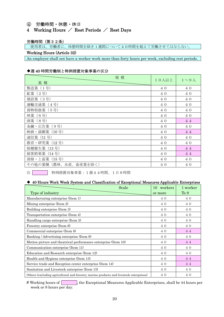## ④ 労働時間・休憩・休日

## 4 Working Hours  $\angle$  Rest Periods  $\angle$  Rest Days

## 労働時間(第32条)

使用者は、労働者に、休憩時間を除き1週間について40時間を超えて労働させてはならない。

## Working Hours (Article 32)

An employer shall not have a worker work more than forty hours per week, excluding rest periods.

## ◆週 40 時間労働制と特例措置対象事業の区分

| 規模                         | 10人以上 | $1 \sim 9$ 人 |
|----------------------------|-------|--------------|
| 業種                         |       |              |
| 製造業 (1号)                   | 40    | 40           |
| 鉱業 (2号)                    | 4 0   | 4 0          |
| 建設業 (3号)                   | 4 0   | 4 0          |
| 運輸交通業<br>$(4 \frac{1}{2})$ | 40    | 40           |
| 貨物取扱業 (5号)                 | 4 0   | 4 0          |
| 林業 (6号)                    | 4 0   | 4 0          |
| 商業 (8号)                    | 40    | 44           |
| 金融・広告業<br>(9号)             | 40    | 40           |
| 映画·演劇業 (10号)               | 4 0   | 4 4          |
| 通信業 (11号)                  | 4 0   | 4 0          |
| 教育·研究業 (12号)               | 4 0   | 40           |
| 保健衛生業 (13号)                | 40    | 4 4          |
| 接客娯楽業 (14号)                | 40    | 4 4          |
| 清掃・と畜業 (15号)               | 4 0   | 4 0          |
| その他の業種(農林、水産、畜産業を除く)       | 40    | 40           |

注 特例措置対象事業:1週44時間、1日8時間

## ◆ 40-Hours Work Week System and Classification of Exceptional Measures Applicable Enterprises

|                                                                                         | Scale | 10 workers | 1 worker |
|-----------------------------------------------------------------------------------------|-------|------------|----------|
| Type of industry                                                                        |       | or more    | To 9     |
| Manufacturing enterprise (Item 1)                                                       |       | 40         | 40       |
| Mining enterprise (Item 2)                                                              |       | 40         | 4 0      |
| Building enterprise (Item 3)                                                            |       | 40         | 40       |
| Transportation enterprise (Item 4)                                                      |       | 40         | 40       |
| Handling cargo enterprise (Item 5)                                                      |       | 40         | 40       |
| Forestry enterprise (Item 6)                                                            |       | 40         | 40       |
| Commercial enterprise (Item 8)                                                          | 40    | 44         |          |
| Banking / Advertising enterprise (Item 9)                                               |       | 40         | 40       |
| Motion picture and theatrical performance enterprise (Item 10)                          |       | 40         | 44       |
| Communication enterprise (Item 11)                                                      |       | 40         | 40       |
| Education and Research enterprise (Item 12)                                             |       | 40         | 4 0      |
| Health and Hygiene enterprise (Item 13)                                                 |       | 40         | 44       |
| Service trade and Reception center enterprise (Item 14)                                 |       | 40         | 44       |
| Sanitation and Livestock enterprise (Item 15)                                           |       | 40         | 40       |
| Others (excluding agricultural and forestry, marine products and livestock enterprises) |       | 40         | 40       |
|                                                                                         |       |            |          |

 $#$  Working hours of , the Exceptional Measures Applicable Enterprises, shall be 44 hours per week or 8 hours per day.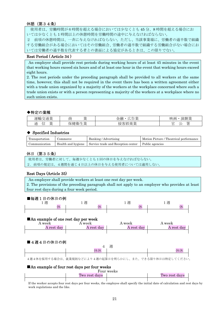## 休憩(第34条)

使用者は、労働時間が6時間を超える場合においては少なくとも 45 分、8 時間を超える場合にお いては少なくとも 1 時間以上の休憩時間を労働時間の途中に与えなければならない。

2 前項の休憩時間は、一斉に与えなければならない。ただし、当該事業場に、労働者の過半数で組織 する労働組合がある場合においてはその労働組合、労働者の過半数で組織する労働組合がない場合にお いては労働者の過半数を代表する者との書面による協定があるときは、この限りでない。

## Rest Period ( Article 34 )

 An employer shall provide rest periods during working hours of at least 45 minutes in the event that working hours exceed six hours and of at least one hour in the event that working hours exceed eight hours.

2. The rest periods under the preceding paragraph shall be provided to all workers at the same time, however, this shall not be required in the event there has been a written agreement either with a trade union organized by a majority of the workers at the workplace concerned where such a trade union exists or with a person representing a majority of the workers at a workplace where no such union exists.

## ◆特定の業種

| $\Delta \text{Hz}$<br>. .<br>$\sim$                              | 业<br><b>Service Contract</b><br>庿<br>⇉<br>--<br>$\sim$                                     | $\Delta \text{Hz}$<br>爲<br><b>LL</b><br>--<br>נדו<br>↗ | 道制学<br>映画<br>--<br>/由 |
|------------------------------------------------------------------|--------------------------------------------------------------------------------------------|--------------------------------------------------------|-----------------------|
| عللد<br>._<br>⇁<br>--<br>讲<br>≂<br>ᆇ<br><u>_</u><br>-<br>-<br>′' | ML<br>$\overline{\phantom{a}}$<br>人土<br>$\mathbf{z}$<br>.<br>4昆<br>.<br>.<br>$\sim$<br>. . | $\Delta$ HA<br>$-1$<br>$\mathcal{L}$                   | m<br>一<br>∸<br>-      |

## ◆ Specified Industries

| Transportation | Commerce           | Banking / Advertising              | Motion Picture / Theatrical performance |
|----------------|--------------------|------------------------------------|-----------------------------------------|
| Communication  | Health and hygiene | Service trade and Reception center | Public agencies                         |

## 休日(第35条)

```
使用者は、労働者に対して、毎週少なくとも1回の休日を与えなければならない。
2.前項の規定は、4週間を通じ4日以上の休日を与える使用者については適用しない。
Ĩ
```
## Rest Days (Article 35)

An employer shall provide workers at least one rest day per week. 2. The provisions of the preceding paragraph shall not apply to an employer who provides at least four rest days during a four week period.

## ■毎週1日の休日の例 1週 1週 1週 1週 はしんしゃ 休 しんしゃ 休 しんしゃ 休 しんしん 休 しんしん はんしんしゃ はんしんしゃ はんしゅう はんしゅう はんしゅう はんしゅう はんしゅう はんしゅう はんしゅう はんしゅう はんしゃ

## ■An example of one rest day per week

| A week     | week                      | week       | A week     |
|------------|---------------------------|------------|------------|
| A rest day | rest day.<br>$\mathsf{A}$ | A rest day | A rest day |
|            |                           |            |            |

## ■4週4日の休日の例

|                                                                                                                    | 週 |                                                                                                                                                                                                                                |
|--------------------------------------------------------------------------------------------------------------------|---|--------------------------------------------------------------------------------------------------------------------------------------------------------------------------------------------------------------------------------|
|                                                                                                                    |   |                                                                                                                                                                                                                                |
| المنافر المنادر والمستوردة والمتعاطفات المتحدث والمتحدث والمستوردة والمستنقل والمستقدان والمستورة والمنافذ المستور |   | renders and the second control of the second control of the second control of the second control of the second of the second control of the second control of the second control of the second control of the second control o |

4週4休を採用する場合は、就業規則などにより4週の起算日を明らかにし、また、できる限り休日は特定してください。

## ■An example of four rest days per four weeks

|               | Four weeks |               |  |
|---------------|------------|---------------|--|
| Iwo rest days |            | Two rest days |  |
|               |            |               |  |

If the worker accepts four rest days per four weeks, the employee shall specify the initial date of calculation and rest days by work regulations and the like.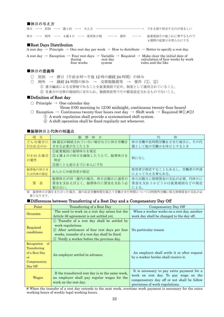## ■休日の与え方

|  |  | 休日 ―→ 原則 ―→ 週1回 ―→ 与え方 ―――――――――― |  |                   | できる限り特定するのが望ましい                    |
|--|--|-----------------------------------|--|-------------------|------------------------------------|
|  |  | 休日 ―→ 例外 ―→ 4週4日 ―→ 変形休日制 ――→ 要件  |  | $\longrightarrow$ | 就業規則その他これに準ずるもので<br>4週間の起算日を明らかにする |

## ■Rest Days Distribution

A rest day  $\rightarrow$  Principle  $\rightarrow$  One rest day per week  $\rightarrow$  How to distribute  $\rightarrow$  Better to specify a rest day.

|            |          | A rest day $\rightarrow$ Exception $\rightarrow$ Four rest days $\rightarrow$ Variable $\rightarrow$ Required $\rightarrow$ Make clear the initial date of |
|------------|----------|------------------------------------------------------------------------------------------------------------------------------------------------------------|
| during     | rest day | calculation of four weeks by work                                                                                                                          |
| four weeks | system   | rules and the like                                                                                                                                         |

## ■休日の意義等

○ 原則 → 暦日 (午前0時~午後12時の継続24時間)の休み

○ 例外 → 継続 24 時間の休み → 交替制勤務等 → 要件(①、②)

① 番方編成による交替制であることを就業規則で定め、制度として運用されていること。

② 各番方の交替が規則的に定められ、勤務割表等でその都度設定されるものでないこと。

## ■Definition of Rest day

- $\bigcirc$  Principle  $\rightarrow$  One calendar day
	- (from 0:00 morning to 12:00 midnight, continuous twenty-four hours)
- $\bigcirc$  Exception → Continuous twenty-four hours rest day → Shift work → Required (# $\oplus$ ,# $\otimes$ ) ① A work regulation shall provide a systematized shift system.
	- ② A shift operation shall be fixed regularly not whenever.

## ■振替休日と代休の相違点

| 項<br>目             | 振<br>替<br>休<br>日                                                 | 代<br>休                                                |
|--------------------|------------------------------------------------------------------|-------------------------------------------------------|
| どんな場合に             | 36協定が締結されていない場合などに休日労働を                                          | 休日労働や長時間労働をさせた場合に、その代                                 |
| 行われるのか             | させる必要が生じたとき                                                      | 償として他の労働日を休日とするとき                                     |
| 行われる場合<br>の要件      | ①就業規則に振替休日を規定<br>②4週4日の休日を確保したうえで、振替休日を<br>特定<br>③遅くとも前日までに本人に予告 | 特になし                                                  |
| 振替後の休日ま<br>たは代休の指定 | あらかじめ使用者が指定                                                      | 使用者が指定することもあるし、労働者の申請<br>によって与える事もある。                 |
| 賃<br>金             | 振替休日が同一週内の場合、休日出勤日に通常の<br>賃金を支払えばよく、振替休日に賃金を支払う必<br>要はない。        | 休日出勤日に割増賃金の支払が必要。代休日に<br>賃金を支払うかどうかは就業規則などの規定<br>による。 |

※ 振替休日が週をまたがった場合、週の法定労働時間を超えて労働させた時間については時間外労働に係る割増賃金の支払が必 要となります。

## ■Differences between Transferring of a Rest Day and a Compensatory Day Off

| Point                                                                                     | Transferring of a Rest Day                                                                                                                                                                                         | Compensatory Day Off                                                                                                                                                 |
|-------------------------------------------------------------------------------------------|--------------------------------------------------------------------------------------------------------------------------------------------------------------------------------------------------------------------|----------------------------------------------------------------------------------------------------------------------------------------------------------------------|
| Occasion                                                                                  | The need to work on a rest day arises but the                                                                                                                                                                      | When a worker works on a rest day, another                                                                                                                           |
|                                                                                           | Article 36 agreement is not settled yet.                                                                                                                                                                           | work day shall be changed to the day off.                                                                                                                            |
| Required<br>conditions                                                                    | 1) Transfer of a rest day shall be settled by<br>work regulations.<br>2 After settlement of four rest days per four<br>weeks, transfer of a rest day shall be fixed.<br>3 Notify a worker before the previous day. | No particular reason                                                                                                                                                 |
| Recognition<br>$\alpha$<br>Transferring<br>of a Rest Day<br>or<br>Compensatory<br>Day Off | An employer settled in advance.                                                                                                                                                                                    | An employer shall settle it or after request<br>by a worker he/she shall receive it.                                                                                 |
| Wages                                                                                     | If the transferred rest day is in the same week,<br>an employer shall pay regular wages for the<br>work on the rest day.                                                                                           | It is necessary to pay extra payment for a<br>work on rest day. To pay wage on the<br>compensatory day off or not shall be follow<br>provisions of work regulations. |

# When the transfer of a rest day extends to the next week, overtime work payment is necessary for the extra working hours of weekly legal working hours.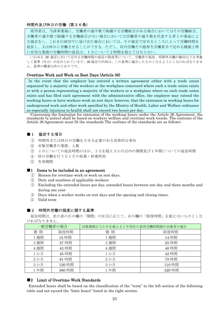## 時間外及び休日の労働(第36条)

使用者は、当該事業場に、労働者の過半数で組織する労働組合がある場合においてはその労働組合、 労働者の過半数で組織する労働組合がない場合においては労働者の過半数を代表する者との書面によ る協定をし、これを行政官庁に届け出た場合においては、その協定で定めるところによって労働時間を 延長し、又は休日に労働させることができる。ただし、坑内労働その他厚生労働省令で定める健康上特 に有害な業務の労働時間の延長は、1日について2時間を超えてはならない。

いわゆる 36 協定において定める労働時間の延長の限度等について、労働者の福祉、時間外労働の動向などを考慮 して基準(告示)が定められています。36 協定の内容は、この基準に適合したものとなるようにしなければなりませ ん。基準の概要は次のとおりです。

## Overtime Work and Work on Rest Days (Article 36)

In the event that the employer has entered a written agreement either with a trade union organized by a majority of the workers at the workplace concerned where such a trade union exists or with a person representing a majority of the workers at a workplace where no such trade union exists and has filed such agreement with the administrative office, the employer may extend the working hours or have workers work on rest days; however, that the extension in working hours for underground work and other work specified by the Minitry of Health, Labor and Welfare ordinance as especially injurious to health shall not exceed two hours per day.

Concerning the limitation for extension of the working hours under the Article 36 Agreement, the standards (a notice) shall be based on workers welfare and overtime work trends. The contents of the Article 36 Agreement must fit the standards.The outlines of the standards are as follows:

## ■1 協定する項目

- ① 時間外または休日の労働をさせる必要のある具体的な事由
- ② 対象労働者の業務、人数
- ③ 1日についての延長時間のほか、1日を超え3か月以内の期間及び1年間についての延長時間
- ④ 休日労働を行う日とその始業・終業時刻
- ⑤ 有効期間

## ■1 Items to be included in an agreement.

- ① Reason for overtime work or work on rest days.
- ② Duty and numbers of applicable workers
- ③ Excluding the extended hours per day, extended hours between one day and three months and during one year
- ④ Days when a worker works on rest days and the opening and closing times.
- ⑤ Valid term

## ■2 時間外労働の限度に関する基準

延長時間は、次の表の左の欄の「期間」の区分に応じて、右の欄の「限度時間」を超えないものとしな ければなりません。

| 一般労働者の場合 |        | 対象期間が3か月を超える1年単位の変形労働時間制の対象者の場合 |        |  |
|----------|--------|---------------------------------|--------|--|
| 期間       | 限度時間   | 間<br>期                          | 限度時間   |  |
| 1週間      | 15 時間  | 1週間                             | 14 時間  |  |
| 2週間      | 27 時間  | 2週間                             | 25 時間  |  |
| 4週間      | 43 時間  | 4週間                             | 40 時間  |  |
| 1か月      | 45 時間  | 1か月                             | 42 時間  |  |
| 2か月      | 81時間   | 2か月                             | 75 時間  |  |
| 3か月      | 120 時間 | 3 か月                            | 110 時間 |  |
| 1年間      | 360 時間 | 1年間                             | 320 時間 |  |

## ■2 Limit of Overtime Work Standards

Extended hours shall be based on the classification of the "term" in the left section of the following table and not exceed the "limit hours" listed in the right section.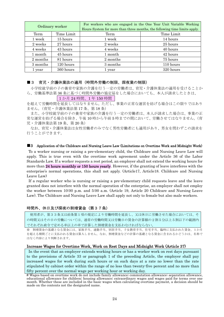| Ordinary worker |            | For workers who are engaged in the One Year Unit Variable Working<br>Hours System for more than three months, the following time limits apply. |            |  |
|-----------------|------------|------------------------------------------------------------------------------------------------------------------------------------------------|------------|--|
| Term            | Time Limit | Term                                                                                                                                           | Time Limit |  |
| 1 week          | 15 hours   | 1 week                                                                                                                                         | 14 hours   |  |
| 2 weeks         | 27 hours   | 2 weeks                                                                                                                                        | 25 hours   |  |
| 4 weeks         | 43 hours   | 4 weeks                                                                                                                                        | 40 hours   |  |
| 1 month         | 45 hours   | 1 month                                                                                                                                        | 42 hours   |  |
| 2 months        | 81 hours   | 2 months                                                                                                                                       | 75 hours   |  |
| 3 months        | 120 hours  | 3 months                                                                                                                                       | 110 hours  |  |
| 1 year          | 360 hours  | 1 year                                                                                                                                         | 320 hours  |  |

## ■ 3 育児・介護休業法の適用(時間外労働の制限、深夜業の制限)

小学校就学前の子の養育や家族の介護を行う一定の労働者は、育児・介護休業法の適用を受けることか ら、労働基準法第 36 条に基づく時間外労働の協定届をした場合においても、本人が請求したときは、

## 1 か月 24 時間、1 年 150 時間

を超えて労働時間を延長してはなりません。ただし、事業の正常な運営を妨げる場合はこの限りではあり ません。(育児・介護休業法第 17 条、第 18 条)

 また、小学校就学前の子の養育や家族の介護を行う一定の労働者は、本人が請求した場合は、事業の正 常な運営を妨げる場合を除き、午後 10 時から午前 5 時までの間において、労働させてはなりません。(育 児・介護休業法第 19 条、第 20 条)

 なお、育児・介護休業法は女性労働者のみでなく男性労働者にも適用があり、男女を問わずこの請求を 行うことができます。

#### ■3 Application of the Childcare and Nursing Leave Law (Limitations on Overtime Work and Midnight Work)

To a worker nursing or raising a pre-elementary child, the Childcare and Nursing Leave Law will apply. This is true even with the overtime work agreement under the Article 36 of the Labor Standards Law. If a worker requests a rest period, an employer shall not extend the working hours for more than 24 hours monthly or 150 hours yearly. However, if the granting of leave interferes with the enterprise's normal operations, this shall not apply. (Article17, Article18. Childcare and Nursing Leave Law)

If a regular worker who is nursing or raising a pre-elementary child requests leave and the leave granted does not interfere with the normal operation of the enterprise, an employer shall not employ the worker between 10:00 p.m. and 5:00 a.m. (Article 19, Article 20 Childcare and Nursing Leave Law). The Childcare and Nursing Leave Law shall apply not only to female but also male workers.

## 時間外、休日及び深夜の割増賃金(第37条)

使用者が、第33条又は前条第1項の規定により労働時間を延長し、又は休日に労働させた場合においては、そ の時間又はその日の労働については、通常の労働時間又は労働日の賃金の計算額の2割5分以上5割以下の範囲内 でそれぞれ政令で定める率以上の率で計算した割増賃金を支払わなければならない。

※ 割増賃金の基礎となる賃金には、家族手当、通勤手当、別居手当、子女教育手当、住宅手当、臨時に支払われた賃金、1か月 を超える期間ごとに支払われる賃金は算入しません。なお、割増賃金などの計算の基礎となる賃金に含まれるかどうかは、名称で はなく内容により判断されます。

#### Increase Wages for Overtime Work, Work on Rest Days and Midnight Work (Article 37)

In the event that an employer extends working hours or has a worker work on rest days pursuant to the provisions of Article 33 or paragraph 1 of the preceding Article, the employer shall pay increased wages for work during such hours or on such days at a rate no lower than the rate stipulated by cabinet order within the range of no less than twenty-five percent and no more than fifty percent over the normal wage per working hour or working day.

<sup>#</sup> Wages based on overtime work do not include family allowance; commutation allowance; separation allowance, educational allowance for children; housing allowance; extraordinary wages and wages paid for terms over one month. Whether these are included in the basic wages when calculating overtime payment, a decision should be made on the contents not the designated name.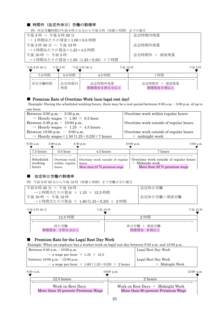## ■ 時間外 (法定外休日) 労働の割増率

例)所定労働時間が午前8時30分から午後5時(休憩1時間)までの場合

| 午後5時 ~ 午後5時30分                   | 法定時間内残業      |
|----------------------------------|--------------|
| → 1時間あたりの賃金×1.00×0.5時間           |              |
| 午後 5 時 30 分 ~ 午後 10 時            | 法定時間外残業      |
| →1時間あたりの賃金×1.25×4.5 時間           |              |
| 午後 10 時 ~ 午前 5 時                 | 法定時間外 + 深夜残業 |
| →1時間あたりの賃金×1.50 (1.25+0.25) ×7時間 |              |

| 午前8時30分 | 午後5時     | 午後 10時<br>午後 5 時 30 分 |              | 午前5時 |
|---------|----------|-----------------------|--------------|------|
| 7.5 時間  | $0.5$ 時間 | 4.5 時間                | 7時間          |      |
|         |          |                       |              |      |
| 所定労働時間  | 法定時間内    | 法定時間外残業               | 法定時間外 + 深夜残業 |      |
|         | 残業       | 割増賃金2割5分以上            | 割増賃金5割以上     |      |

## ■ Premium Rate of Overtime Work (non-legal rest day)

Example: During the scheduled working hours, there may be a rest period between 8:30 a.m.-5:00 p.m. of up to one hour.

| Overtime work within regular hours     |
|----------------------------------------|
|                                        |
| Overtime work outside of regular hours |
|                                        |
| Overtime work outside of regular hours |
| $+$ midnight work                      |
|                                        |

| 8:30a.m.                      | $5.00$ p.m.             | $5.30$ p.m.                                                                                 | $10:00$ p.m.                                                                              | 5.00 a.m. |
|-------------------------------|-------------------------|---------------------------------------------------------------------------------------------|-------------------------------------------------------------------------------------------|-----------|
| 7.5 hours                     | $0.5$ hour              | 4.5 hours                                                                                   | 7 hours                                                                                   |           |
| Scheduled<br>working<br>hours | within regular<br>hours | Overtime work   Overtime work outside of regular<br>hours<br>More than 25 $\%$ premium wage | Overtime work outside of regular hours<br>Midnight work<br>More than 50 $\%$ premium wage |           |

## ■ 法定休日労働の割増率

例)午前8時 30 分から午後 12 時(休憩1時間)まで労働させた場合

| 午前8時30分~午後10時<br>→1時間当たりの賃金 × 1.35 × 12.5 時間<br>午後 10時 ~ 午後 12時<br>→1時間当たりの賃金 × 1.60 (1.35+0.25) × 2時間 |        | 法定休日労働<br>法定休日労働+深夜労働    |        |
|--------------------------------------------------------------------------------------------------------|--------|--------------------------|--------|
| 午前8時30分                                                                                                | 午後 10時 |                          | 午後 12時 |
| 12.5 時間                                                                                                |        | 2 時間                     |        |
| 休日労働<br>割増賃金 3割5分以上                                                                                    |        | 休日労働 + 深夜労働<br>割増賃金 6割以上 |        |

## ■ Premium Rate for the Legal Rest Day Work

Example: When an employer has a worker work on legal rest day between 8:30 a.m. and 12:00 p.m..

| Between $8:30$ a.m. $-10:00$ p.m.                                        | Legal Rest Day Work |
|--------------------------------------------------------------------------|---------------------|
| $\rightarrow$ a wage per hour $\times$ 1.35 $\times$ 12.5                |                     |
| between $10:00 \text{ p.m.} - 12:00 \text{ p.m.}$                        | Legal Rest Day Work |
| $\rightarrow$ a wage per hour $\times$ 1.60 (1.35+0.25) $\times$ 2 hours | + Midnight Work     |
|                                                                          |                     |

| 8:30 a.m. |                                                        | $10:00$ p.m.                                                             |  |  |  |  |
|-----------|--------------------------------------------------------|--------------------------------------------------------------------------|--|--|--|--|
|           | $12.5~{\rm hours}$                                     | 2 hours                                                                  |  |  |  |  |
|           | Work on Rest Days<br>More than 35 percent Premium Wage | Work on Rest Days $+$ Midnight Work<br>More than 60 percent Premium Wage |  |  |  |  |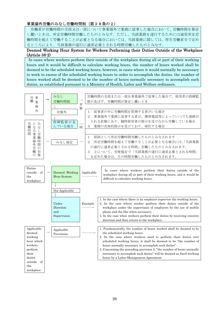## 事業場外労働のみなし労働時間制(第38条の2)

 労働者が労働時間の全部又は一部について事業場外で業務に従事した場合において、労働時間を算定 し難いときは、所定労働時間労働したものとみなす。ただし、当該業務を遂行するためには通常所定労 働時間を超えて労働することが必要となる場合においては、当該業務に関しては、厚生労働省令で定め るところにより、当該業務の遂行に通常必要とされる時間労働したものとみなす。

## Deemed Working Hour System for Workers Performing their Duties Outside of the Workplace (Article 38-2)

 In cases where workers perform their outside of the workplace during all or part of their working hours and it would be difficult to calculate working hours, the number of hours worked shall be deemed to be the scheduled working hours, however, in cases where it would normally be necessary to work in excess of the scheduled working hours in order to accomplish the duties, the number of hours worked shall be deemed to be the number of hours normally necessary to accomplish such duties, as established pursuant to a Ministry of Health, Labor and Welfare ordinance.

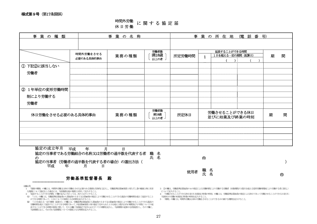## 様式第9号(第17条関係)

## 時間外労働 休日労働 <sup>に</sup> <sup>関</sup> <sup>す</sup> <sup>る</sup> <sup>協</sup> <sup>定</sup> <sup>届</sup>

| 事業の種類                               |                         | 事業の名称                                                                                  | 事業の所在地 (電話番号)          |        |                |                                   |  |   |   |  |
|-------------------------------------|-------------------------|----------------------------------------------------------------------------------------|------------------------|--------|----------------|-----------------------------------|--|---|---|--|
|                                     |                         |                                                                                        |                        |        |                |                                   |  |   |   |  |
|                                     | 時間外労働をさせる<br>必要のある具体的事由 | 業務の種類                                                                                  | 労働者数<br>満18歳<br>以上の者   | 所定労働時間 | $\mathbf{1}$   | 延長することができる時間<br>1日を超える一定の期間 (起算日) |  | 期 | 間 |  |
| ① 下記2)に該当しない                        |                         |                                                                                        |                        |        |                |                                   |  |   |   |  |
| 労働者                                 |                         |                                                                                        |                        |        |                |                                   |  |   |   |  |
|                                     |                         |                                                                                        |                        |        |                |                                   |  |   |   |  |
| ② 1年単位の変形労働時間                       |                         |                                                                                        |                        |        |                |                                   |  |   |   |  |
| 制により労働する                            |                         |                                                                                        |                        |        |                |                                   |  |   |   |  |
| 労働者                                 |                         |                                                                                        |                        |        |                |                                   |  |   |   |  |
| 休日労働をさせる必要のある具体的事由                  |                         | 業務の種類                                                                                  | 労働者数<br>満18歳<br>以上の者 - | 所定休日   |                | 労働させることができる休日<br>並びに始業及び終業の時刻     |  | 期 | 間 |  |
|                                     |                         |                                                                                        |                        |        |                |                                   |  |   |   |  |
|                                     |                         |                                                                                        |                        |        |                |                                   |  |   |   |  |
|                                     |                         |                                                                                        |                        |        |                |                                   |  |   |   |  |
| 協定の成立年月<br>$\mathcal{D}$<br>平成<br>年 | 平成<br>年<br>月<br>日       | 月<br>$\mathbf{H}$<br>協定の当事者である労働組合の名称又は労働者の過半数を代表する者<br>協定の当事者(労働者の過半数を代表する者の場合)の選出方法( | 職氏<br>名名               |        | $^{\circledR}$ |                                   |  |   |   |  |
|                                     |                         |                                                                                        |                        | 使用者    | 職氏             | 名名                                |  |   | ⊕ |  |

労働基準監督署長 殿

- 記載心得
- 1 「業務の種類」の欄には、時間外労働又は休日労働をさせる必要のある業務を具体的に記入し、労働基準法第36条第1項ただし書の健康上特に有害 な業務について協定をした場合には、当該業務を他の業務と区別して記入すること。
- 2 「延長することができる時間」の欄の記入に当たっては、次のとおりとすること。
- (1) 「1日」の欄には、労働基準法第32条から第32条の5まで又は第40条の規定により労働させることができる最長の労働時間を超えて延長すること 。<br>かできる時間であって、 1日についての限度となる時間を記入すること。

 (2) 「1日を超える一定の期間(起算日)」の欄には、労働基準法第32条から第32条の5まで又は第40条の規定により労働させることができる最長の 労働時間を超えて延長することができる時間であって、同法第36条第1項の協定で定められた1日を超え3箇月以内の期間及び1年間についての延 長することができる時間の限度に関して、その上欄に当該協定で定められたすべての期間を記入し、当該期間の起算日を括弧書きし、その下欄に、 当該期間に応じ、それぞれ当該期間についての限度となる時間を記入すること。

3 ②の欄は、労働基準法第32条の4の規定による労働時間により労働する労働者(対象期間が3箇月を超える変形労働時間制により労働する者に限る。) について記入すること。

- 4 「労働させることができる休日並びに始業及び終業の時刻」の欄には、労働基準法第35条の規定による休日であって労働させることができる日並びに 当該休日の労働の始業及び終業の時刻を記入すること。
- 5 「期間」の欄には、時間外労働又は休日労働をさせることができる日の属する期間を記入すること。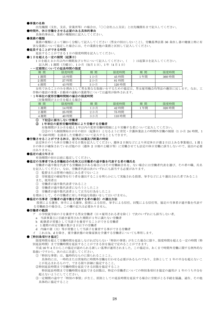#### ●事業の名称

出先機関(支社、支店、営業所等)の場合は、「○○会社△△支店」と出先機関名まで記入してください。

●時間外、休日労働をさせる必要のある具体的事由

具体的事由は、業務の種類別に記入してください。

#### ●業務の種類

業務の種類によって細かく分類して記入してください(男女の別はしないこと)。労働基準法第 36 条但し書の健康上特に有 害な業務について協定した場合には、その業務を他の業務と区別して記入してください。

#### ●延長することができる時間

延長することができる 1 日の限度時間を記入してください。

## ●1日を超える一定の期間(起算日)

1日を超え3か月以内の期間及び1年について記入してください。()は起算日を記入してください。 記入例;1 週間(月曜日)、1 か月(毎月 1 日)、1 年(4 月 1 日)

#### ・一定期間についての延長時間の限度

| .      |          |        |          |        |        |
|--------|----------|--------|----------|--------|--------|
| 間<br>期 | 限度時間     | 間<br>期 | 限度時間     | 期<br>間 | 限度時間   |
| 週間     | 15 時間    | 日<br>D | 45 時間    | 年間     | 360 時間 |
| 週間     | 時間<br>27 | 2か月    | 時間<br>81 |        |        |
| 週間     | 43 時間    | 3 か月   | 120 時間   |        |        |

女性であることのみを理由として男女異なる取扱いをするための協定は、男女雇用機会均等法の趣旨に反します。なお、工 作物の建設の事業・自動車の運転の業務等については適用が除外されます。

#### ・1年単位の変形労働時間制の場合の限度時間 ·免期開が3か日を超うス担

| . ^ ] 《A 79】[F] / ' O / / ' / 」 신 / 브 / ㄴ ' J 《 / ] / |       |           |        |        |        |  |  |  |  |
|-------------------------------------------------------|-------|-----------|--------|--------|--------|--|--|--|--|
| 間<br>期                                                | 限度時間  | 期<br>間    | 限度時間   | 期<br>間 | 限度時間   |  |  |  |  |
| 週間                                                    | . 時間  | . P<br>カコ | 42 時間  | 年間     | 320 時間 |  |  |  |  |
| 2週間                                                   | 25 時間 | 2か月       | 75 時間  |        |        |  |  |  |  |
| . 週間                                                  | 40 時間 | 3か月       | 110 時間 |        |        |  |  |  |  |

#### ① 下記②に該当しない労働者

#### ② 1 年単位の変形労働時間制により労働する労働者

対象期間が 3 か月を超え 1 年以内の変形労働時間制により労働する者について記入してください。

①②のうち制限開始日が月の初日(起算日)となるように育児・介護休業法上の時間外労働の制限(1 か月 24 時間、1 年150時間)を請求した労働者について記入することもできます。

#### ●労働させることができる休日、並びに始業及び終業の時刻

法定休日のうち休日労働させる日数を記入してください。週休 2 日制などにより所定休日が週 2 日以上ある事業場は、1 週 1 日の休日が確保されていれば他の日(週休 2 日制の土曜日等)に労働させても法定の休日労働に該当しないので、届出の必要 はありません。

#### ●協定の成立年月日

有効期間の初日以前に協定してください。

#### ●協定の当事者である労働組合の名称又は労働者の過半数を代表する者の職氏名

労働者の過半数を代表する労働組合がある場合にはその労働組合名を、ない場合には労働者代表を選び、その者の職、氏名 を記入してください。なお、労働者代表は次のいずれにも該当する必要があります。

- ① 監督または管理の地位にある者でないこと
- ② 労使協定の締結等を行う者を選出することを明らかにして実施される投票、挙手などにより選出された者であること
- また、使用者は
- ① 労働者が過半数代表者であること
- ② 労働者が過半数代表者になろうとしたこと
- ③ 労働者が過半数代表者として正当な行為をしたこと
- を理由として、その労働者に対し不利益な取扱いをしてはいけません。

#### ●協定の当事者(労働者の過半数を代表する者の場合)の選出方法

投票による選挙、挙手による選挙、投票による信任、挙手による信任、回覧による信任等。協定の当事者が過半数を代表す る労働組合の場合は、この欄の記入は必要ありません。

#### ●労働者の範囲

ア 小学校就学前の子を養育する男女労働者(日々雇用される者を除く)で次のいずれにも該当しない者。

- a 当該事業主に引続き雇用された期間が 1 年に満たない労働者
- b 配偶者が常態として当該子を養育することができる労働者
- c 1 週間の所定労働日数が 2 日以下の労働者
- d 内縁の妻(夫)等が常態として当該子を養育する事ができる労働者
- これは b、d を除き、要介護状態の対象家族を介護する労働者についても準用します。

#### ● [特別条項付き協定]

限度時間を超えて労働時間を延長しなければならない「特別の事情」が生じた場合に限り、限度時間を超える一定の時間(特 別延長時間)まで労働時間を延長することができる旨を協定で定めることができます。

平成 16 年 4 月からこの協定が認められる新しい基準が運用されました。この協定は、あくまで時間外労働に関する例外的な 取扱いですから、次の点に注意してください。

①「特別な事情」は、臨時的なものに限られることこと。

具体的には、一時的または突発的に時間外労働を行わせる必要があるものであり、全体として 1 年の半分を超えないこ とが見込まれるもので、できる限り詳細に協定すること。

②特別延長時間まで労働時間を延長できる回数を協定すること

特別延長時間まで労働時間を延長できる回数は、特定の労働者についての特別条項付き協定の適用が 1 年のうち半分を 超えないようにしてください。

③一定期間の途中で「特別の事情」が生じ、原則としての延長時間を延長する場合に労使がとる手続を協議、通告、その他 具体的に協定すること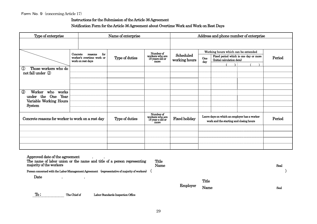## Instructions for the Submission of the Article 36 Agreement

## Notification Form for the Article 36 Agreement about Overtime Work and Work on Rest Days

| Type of enterprise                                                                                                                  |          |                                                                  | Name of enterprise | Address and phone number of enterprise                  |                            |              |                                                                                         |  |        |
|-------------------------------------------------------------------------------------------------------------------------------------|----------|------------------------------------------------------------------|--------------------|---------------------------------------------------------|----------------------------|--------------|-----------------------------------------------------------------------------------------|--|--------|
|                                                                                                                                     |          |                                                                  |                    |                                                         |                            |              |                                                                                         |  |        |
|                                                                                                                                     |          |                                                                  |                    | Number of                                               |                            |              | Working hours which can be extended                                                     |  |        |
|                                                                                                                                     | Concrete | for<br>reasons<br>worker's overtime work or<br>work on rest days | Type of duties     | workers who are<br>18 years old or<br>more              | Scheduled<br>working hours | One<br>day   | Fixed period which is one day or more<br>(Initial calculation date)                     |  | Period |
|                                                                                                                                     |          |                                                                  |                    |                                                         |                            |              |                                                                                         |  |        |
| Those workers who do<br>$^\copyright$<br>not fall under 2                                                                           |          |                                                                  |                    |                                                         |                            |              |                                                                                         |  |        |
|                                                                                                                                     |          |                                                                  |                    |                                                         |                            |              |                                                                                         |  |        |
|                                                                                                                                     |          |                                                                  |                    |                                                         |                            |              |                                                                                         |  |        |
|                                                                                                                                     |          |                                                                  |                    |                                                         |                            |              |                                                                                         |  |        |
| ②<br>Worker who works                                                                                                               |          |                                                                  |                    |                                                         |                            |              |                                                                                         |  |        |
| under the One Year<br>Variable Working Hours                                                                                        |          |                                                                  |                    |                                                         |                            |              |                                                                                         |  |        |
| <b>System</b>                                                                                                                       |          |                                                                  |                    |                                                         |                            |              |                                                                                         |  |        |
|                                                                                                                                     |          |                                                                  |                    |                                                         |                            |              |                                                                                         |  |        |
| Concrete reasons for worker to work on a rest day                                                                                   |          |                                                                  | Type of duties     | Number of<br>workers who are<br>18 years old or<br>more | <b>Fixed holiday</b>       |              | Leave days on which an employer has a worker<br>work and the starting and closing hours |  | Period |
|                                                                                                                                     |          |                                                                  |                    |                                                         |                            |              |                                                                                         |  |        |
|                                                                                                                                     |          |                                                                  |                    |                                                         |                            |              |                                                                                         |  |        |
|                                                                                                                                     |          |                                                                  |                    |                                                         |                            |              |                                                                                         |  |        |
|                                                                                                                                     |          |                                                                  |                    |                                                         |                            |              |                                                                                         |  |        |
| Approved date of the agreement<br>The name of labor union or the name and title of a person representing<br>majority of the workers |          |                                                                  |                    | Title<br>Name                                           |                            |              |                                                                                         |  | Seal   |
| Person concerned with the Labor-Management Agreement (representative of majority of workers)                                        |          |                                                                  |                    |                                                         |                            |              |                                                                                         |  |        |
| Date<br>$\bullet$                                                                                                                   |          |                                                                  |                    |                                                         |                            | <b>Title</b> |                                                                                         |  |        |
|                                                                                                                                     |          |                                                                  |                    |                                                         | Employer                   |              |                                                                                         |  |        |
|                                                                                                                                     |          |                                                                  |                    |                                                         |                            | Name         |                                                                                         |  | Seal   |

To ; The Chief of Labor Standards Inspection Office

Seal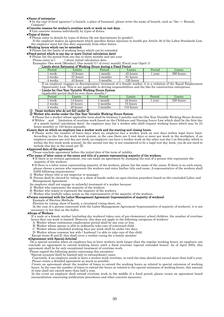#### ●Name of enterprise

# In the case of local agencies ( a branch, a place of business), please write the name of branch, such as "the ○○ Branch, Company".

#### ●Concrete reasons for worker's overtime work or work on rest days.

# List concrete reasons individually by types of duties.

#### ●Types of duties

# Please enter in details by types of duties (do not discriminate by gender).

If the employer makes an agreement which specifies duties injurious to health per Article 36 of the Labor Standards Law, the employer must list this duty separately from other duties.

#### ●Working hours which can be extended.

# Please list the limits of working hours which can be extended.

●Fixed period which is one day or more (Initial calculation date)

 $#$  Please list the period from one day to three months and one year.<br>Please enter in  $( )$  about initial calculation date.

) about initial calculation date.

#### Examples: One week (Monday), One month (1st of every month), Fiscal year (April 1) ・Limits about Extension of Working Hours during a Fixed Period

| Period<br>Lımıts |            | Limits<br>Period |             | Period | Lımıts    |
|------------------|------------|------------------|-------------|--------|-----------|
| . week           | 15 hours   |                  | 45 hours    | year   | 360 hours |
| 2 weeks          | $27$ hours | 2 months         | 81 hours    |        |           |
| 4 weeks          | 43 hours   | 3 months         | $120$ hours |        |           |

 If an employer engages in discriminatory treatment of a female worker, it is a violation of the Equal Employment Opportunity Law. This is not applicable to driving responsibilities and the like for construction enterprises.

#### ・Limits for One-Year Variable Working Hours System

#### (applicable period shall be over three months.)

| 320 hours<br>42 hours<br>week<br>14 hours<br>month<br>year<br>25 hours<br>75 hours<br>2 months<br>2 weeks<br>$10 \; hours$<br>40 hours<br>months<br>4 weeks | Period | Limits | $\rm Period$ | ${\rm Limits}$ | Period | Limits |
|-------------------------------------------------------------------------------------------------------------------------------------------------------------|--------|--------|--------------|----------------|--------|--------|
|                                                                                                                                                             |        |        |              |                |        |        |
|                                                                                                                                                             |        |        |              |                |        |        |
|                                                                                                                                                             |        |        |              |                |        |        |

## ① Those workers who do not fall under ②

#### ② Worker who works under the One Year Variable Working Hours System

 # Please list a worker whose applicable term shall be between 3 months and the One Year Variable Working Hours System. # Within and , limitation of overtime work based on the Childcare and Nursing Leave Law which shall be the first day of a month (initial calculation date). An employer may list a worker who shall request working hours which may be  $24$ hours monthly or 150 hours annually.

#### ●Leave days on which an employer has a worker work and the starting and closing hours.

# Please write the number of leave days when an employer has a worker work on rest days within legal leave limit. According to the five day work week system, in the case there are 2 rest days or more per week in the workplace, if an employer ensures one rest day per week, an employer can have a worker work on the other rest day ( on Saturday which is within the five work week system). As the second rest day is not considered to be a legal rest day work, you do not need to include this day in the count per ⑯.

#### ●Approved date of the agreement

Please conclude agreement before the initial date of the term of validity.

#### ●The name of labor union or the name and title of a person representing majority of the workers.

 # If there is no written agreement, you can make an agreement by stamping the seal of a person who represents the majority of the workers.

# If there is a labor union representing majority of the workers, please list the name of the union. If there is no such union, please choose a person who represents the workers and enter his/her title and name. A representative of the workers shall fulfill following requirements:

- A: Worker whose title is not inspector or manager
- B: Person shall be elected by voting or a show of hands under an open election procedure based on the concluded Labor and Management Agreement.
- An employer shall not engage in unlawful treatment of a worker because:
- A: Worker who represents the majority of the workers
- B: Worker who wants to represent the majority of the workers.

#### C: Worker who lawfully takes action as the representative of the majority of the workers.

#### ●Person concerned with the Labor-Management Agreement (representative of majority of workers)

Example of Election Methods:

Election by voting, show of hands, a circulated voting sheet, etc.

In the case of a person concerned with the Labor-Management Agreement (representative of majority of workers), it is not necessary to list that on the ballot.

#### .●Scope of Workers

 If a male or a female worker (excluding day workers) takes care of pre-elementary school children, the number of overtime hours they can work is limited. However, this does not apply to the following categories of workers:

- A: Worker whose continuous employment period shall be one year or less.
- B: Worker whose spouse is able to ordinarily take care of concerned child.
- C: Worker whose scheduled working days per week shall be under two days.

D: Worker whose common law wife ( husband ) is able to take care of this child. Except items B and D, this shall cover a worker caring for a family member

#### ●[Agreement with Special Articles]

On a special occasion when an employer has to have workers work longer than the regular working hours, an employer can conclude an agreement to extend working hours until a fixed overtime (special extended hours). As of April 2004, this agreement shall be for only exceptional treatment of overtime work.

Please regard the following points concerning this exception:

"Special occasion"shall be limited only to extraordinary cases.

Concretely, if an employer needs to have a worker work overtime, in total the time should not exceed more than half a year. Please create a detailed agreement as much as possible.

 Create an agreement about the number of times to extend the working hours as related to special extension of working hours. In the case the number of times to extend the hours as related to the special extension of working hours, this amount of time shall not exceed more than half a year.

 In the event an employer shall extend overtime work in the middle of a fixed period, please create an agreement based onconsultation concerning notification procedures and other concrete measures.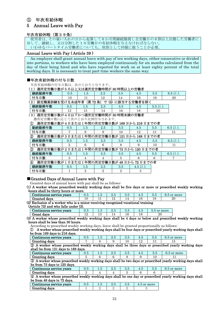## ⑤ 年次有給休暇

## 5 Annual Leave with Pay

## 年次有給休暇(第39条)

使用者は、その雇い入れの日から起算して6か月間継続勤務し全労働日の8割以上出勤した労働者に 対して、継続し、又は分割した10労働日の有給休暇を与えなければならない。 。<br>いわゆるパートタイム労働者についても、原則として同様に扱うことが必要。

## Annual Leave with Pay ( Article 39 )

An employer shall grant annual leave with pay of ten working days, either consecutive or divided into portions, to workers who have been employed continuously for six months calculated from the day of their being hired and who have reported for work on at least eighty percent of the total working days. It is necessary to treat part-time workers the same way.

## ■年次有給休暇の付与日数

年次有給休暇の付与日数は、次のとおりとなります。

| 週所定労働日数が5日以上又は週所定労働時間が30時間以上の労働者 |           |           |                               |     |             |          |           |  |  |  |  |
|----------------------------------|-----------|-----------|-------------------------------|-----|-------------|----------|-----------|--|--|--|--|
| 継続勤務年数                           | 0.5       | L 5       | 2.5                           | 3.5 | 4.5         | 5.5      | $6.5 \nu$ |  |  |  |  |
| 付与日数                             | 10        |           | . റ                           | ۱4  | 16          |          | 20        |  |  |  |  |
|                                  |           |           |                               |     |             |          |           |  |  |  |  |
| 認定職業訓練を受ける未成年者<br>2 <sup>2</sup> |           | 第         | 72 条<br>$\left(3\right)$<br>⇁ |     | に該当する労働者を除。 |          |           |  |  |  |  |
| 継続勤務年数                           | $\rm 0.5$ | $\sim$ 0. | 2.5                           | 3.5 | 4.5         | $5.52$ 上 |           |  |  |  |  |

## (3)週所定労働日数が4日以下かつ週所定労働時間が 30 時間未満の労働者 週所定労働日数に応じて次のとおり比例付与されます。

① 週所定労働日数が4日または1年間の所定労働日数が 169 日から 216 日までの者

| 勤続勤務年数                                                 | 0.5                                   | 1.5 | 2.5     | 3.5 | 4.5      | 5.5 | 6.5 以上   |  |  |  |  |
|--------------------------------------------------------|---------------------------------------|-----|---------|-----|----------|-----|----------|--|--|--|--|
| 付与日数                                                   |                                       |     |         | 10  | 12       | 13  | 15       |  |  |  |  |
| 週所定労働日数が3日または1年間の所定労働日数が121日から168日までの者<br>$^{\rm (2)}$ |                                       |     |         |     |          |     |          |  |  |  |  |
| 継続勤務年数                                                 | 0.5                                   | 1.5 | 2.5     | 3.5 | 4.5      | 5.5 | $6.5$ 以上 |  |  |  |  |
| 付与日数                                                   | 5                                     | 6   | 6       | 8   | 9        | 10  | 11       |  |  |  |  |
| ③                                                      | 週所定労働日数が2日または1年間の所定労働日数が73日から120日までの者 |     |         |     |          |     |          |  |  |  |  |
| 継続勤務年数                                                 | 0.5                                   | 1.5 | $2.5\,$ | 3.5 | 4.5      | 5.5 | 6.5 以上   |  |  |  |  |
| 付与日数                                                   | З                                     |     | 4       | 5   | 6        | 6   |          |  |  |  |  |
| 週所定労働日数が1日または1年間の所定労働日数が48日から72日までの者<br>④              |                                       |     |         |     |          |     |          |  |  |  |  |
| 継続勤務年数                                                 | 0.5                                   | 1.5 | 2.5     | 3.5 | $4.5$ 以上 |     |          |  |  |  |  |
| 付与日数                                                   |                                       | 2   |         | 2   |          |     |          |  |  |  |  |

## ■Granted Days of Annual Leave with Pay

Granted days of annual leave with pay shall be as follows:

(1) A worker whose prescribed weekly working days shall be five days or more or prescribed weekly working hours shall be thirty hours or more.

| Continuous service years<br>0.5<br>3.5<br>6.5 or more<br>4.5<br>$1.5^{\circ}$<br>$2.5\,$<br>5.5                            |                                                                                                                               |   |    |    |    |    |    |    |  |  |  |
|----------------------------------------------------------------------------------------------------------------------------|-------------------------------------------------------------------------------------------------------------------------------|---|----|----|----|----|----|----|--|--|--|
|                                                                                                                            | Granted days                                                                                                                  |   |    | 12 | 14 | 16 | 18 | 20 |  |  |  |
| (2) Exclusion of a worker who is a minor receiving recognized vocational training<br>(Article 72) and who falls under (3). |                                                                                                                               |   |    |    |    |    |    |    |  |  |  |
| Continuous service years<br>4.5<br>3.5<br>0.5<br>2.5<br>5.5 or more<br>1.5                                                 |                                                                                                                               |   |    |    |    |    |    |    |  |  |  |
|                                                                                                                            | Grant days                                                                                                                    | റ | 13 | 14 | 16 | 18 | 20 |    |  |  |  |
| 70)                                                                                                                        | ورادا والمستر المستقيم والمستقر والمستقر والمستقل المسار والمستقر والمستقرر والمستقرر والمستقرر والمستقرر والمستقرر والمستقرر |   |    |    |    |    |    |    |  |  |  |

(3) A worker whose prescribed weekly working days shall be 4 days or below and prescribed weekly working hours shall be less than 30 hours.

According to prescribed weekly working days, leave shall be granted proportionally as follows:

① A worker whose prescribed weekly working days shall be four days or prescribed yearly working days shall be from 169 days to 216 days.

| ntinuous service vears<br>ാവ | ∪.∪ | ⊥.∪ | ◡ | $\mathbf{u}.\mathbf{v}$ | . . | $\sim$<br>ບ.ບ | more<br>$\alpha$ |
|------------------------------|-----|-----|---|-------------------------|-----|---------------|------------------|
| iranting<br>davs             |     |     |   |                         |     |               |                  |
| $\sim$<br>                   |     |     |   | . .                     |     |               |                  |

② A worker whose prescribed weekly working days shall be three days or prescribed yearly working days shall be from 121 days to 168 days.

| Continuous service vears | ◡.◡ | . | ں .ر | . . | J.U | more<br>or |  |
|--------------------------|-----|---|------|-----|-----|------------|--|
| Granting davs            |     |   |      |     |     | <b>. .</b> |  |

③ A worker whose prescribed weekly working days shall be two days or prescribed yearly working days shall be from 73 days to 120 days.

| Continuous service vears | ०.८ |  | ບ.ເ | . . | ບ.ບ | or more<br>$\mathbf{U}$ |
|--------------------------|-----|--|-----|-----|-----|-------------------------|
|                          |     |  |     |     |     |                         |

Granting days 3 4 4 5 6 6 7 ④ A worker whose prescribed weekly working days shall be one day or prescribed yearly working days shall be from 48 days to 72 days.

| Continuous service vears | ∪.∪ | ⊥.∪ | ∠.പ | $\mathbf{u}.\mathbf{v}$ | more<br>or<br>. |
|--------------------------|-----|-----|-----|-------------------------|-----------------|
| Granting days            |     |     |     |                         |                 |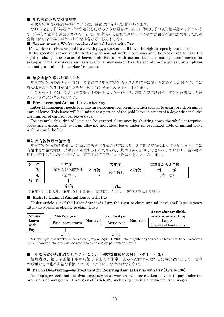## ■ 年次有給休暇の取得時季

年次有給休暇の取得時季については、労働者に時季指定権があります。

 なお、指定時季が事業の正常な運営を妨げるような場合は、会社に休暇時季の変更権が認められていま す(「事業の正常な運営を妨げる」とは、年度末の業務繁忙期などに多数の労働者の請求が集中したため 全員に休暇を付与しがたいような場合などに限られます)。

## ■ Season when a Worker receives Annual Leave with Pay

If a worker receives annual leave with pay, a worker shall have the right to specify the season.

 If the specified season shall interfere with normal work, a company shall be recognized to have the right to change the season of leave. "Interference with normal business management" means for example, if many workers' requests are for a busy season like the end of the fiscal year, an employer can not grant all of the workers' requests.

#### ■ 年次有給休暇の計画的付与

年次有給休暇の計画的付与は、労使協定で年次有給休暇を与える時季に関する定めをした場合で、年次 有給休暇のうち5日を超える部分(繰り越し分を含みます)に限ります。

 付与方法としては、例えば事業場全体の休業による一斉付与、班別の交替制付与、年休計画表による個 人別付与などが考えられます。

#### ■ Pre-determined Annual Leave with Pay

Labor-Management needs to make an agreement concerning which season to grant pre-determined annual leave. This leave will be limited to a portion of the paid leave in excess of 5 days (this includes the number of carried over leave days).

 For example this kind of leave can be granted all at once by shutting down the whole enterprise, operating a group shift system, allowing individual leave under an organized table of annual leave with pay and the like.

#### ■年次有給休暇の請求権

年次有給休暇の請求権は、労働基準法第 115 条の規定により、2年間で時効によって消滅します。年次 有給休暇の請求権は,基準日に発生するものですので、基準日から起算して2年間、すなわち、当年度の 初日に発生した休暇については、翌年度末で時効により消滅することになります。



(19 年 4 月 1 日入社。19 年 10 月1日発生(基準日)。ただし、出勤率8割以上の場合)

#### ■ Right to Claim of Annual Leave with Pay

 Under article 115 of the Labor Standards Law, the right to claim annual leave shall lapse 2 years after the worker is eligible to claim leave.



(For example, if a worker enters a company on April 1, 2007, the eligible day to receive leave starts on October 1, 2007. However, the attendance rate has to be eighty percent or more.)

## 年次有給休暇を取得したことによる不利益な取扱いの禁止(第136条)

 使用者は、第39条第1項から第3項までの規定による有給休暇を取得した労働者に対して、賃金 の減額やその他不利益な取扱いはしないようにしなければならない。

## ■ Ban on Disadvantageous Treatment for Receiving Annual Leaves with Pay (Article 136)

 An employer shall not disadvantageously treat workers who have taken leave with pay under the provisions of paragraph 1 through 3 of Article 39, such as by making a deduction from wages.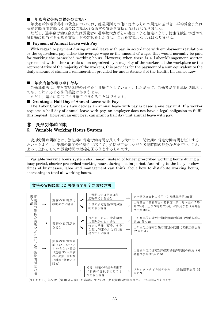## ■ 年次有給休暇の賃金の支払い

年次有給休暇取得中の賃金については、就業規則その他に定めるものの規定に基づき、平均賃金または 所定労働時間労働した場合に支払われる通常の賃金を支払わなければなりません。

ただし、過半数労働組合または労働者の過半数代表者との書面による協定により、健康保険法の標準報 酬日額に相当する金額を支払う旨の定めをした時は、これを支払わなければなりません。

## ■ Payment of Annual Leave with Pay

 With regard to payment during annual leave with pay, in accordance with employment regulations or the equivalent, pay either the average wage or the amount of wages that would normally be paid for working the prescribed working hours. However, when there is a Labor-Management written agreement with either a trade union organized by a majority of the workers at the workplace or the representative of the majority of the workers, this provides for the payment of a sum equivalent to the daily amount of standard remuneration provided for under Article 3 of the Health Insurance Law.

## ■ 年次有給休暇の半日付与

 労働基準法は、年次有給休暇の付与を1日単位としています。したがって、労働者が半日単位で請求し ても、これに応じる法的義務はありません。

ただし、請求に応じて半日単位で与えることはできます。

## ■ Granting a Half Day of Annual Leave with Pay

 The Labor Standards Law decides an annual leave with pay is based a one day unit. If a worker requests a half day of annual leave with pay, an employer does not have a legal obligation to fulfill this request. However, an employer can grant a half day unit annual leave with pay.

## ⑥ 変形労働時間制

## 6. Variable Working Hours System

変形労働時間制とは、繁忙期の所定労働時間を長くする代わりに、閑散期の所定労働時間を短くする といったように、業務の繁閑や特殊性に応じて、労使が工夫しながら労働時間の配分などを行い、これ よって全体としての労働時間の短縮を図ろうとするものです。

Variable working hours system shall mean, instead of longer prescribed working hours during a busy period, shorter prescribed working hours during a calm period. According to the busy or slow times of businesses, labor and management can think about how to distribute working hours, shortening in total all working hours.

## 業務の実態に応じた労働時間制度の選択方法



(注)ただし、年少者(満 18 歳未満)・妊産婦については、変形労働時間制の適用に一定の制限があります。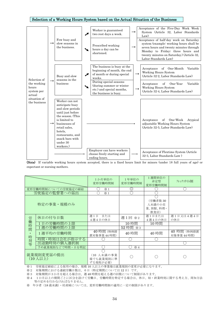## Selection of a Working Hours System based on the Actual Situation of the Business

|               |                                                                                                                                                                                                                               |                | Worker is guaranteed<br>two rest days a week.                                   |                                                                                   |                                                                                                           | Acceptance of the Five-Day Work Week<br>System (Article 32, Labor Standards<br>Law)                                                                                                                                                    |
|---------------|-------------------------------------------------------------------------------------------------------------------------------------------------------------------------------------------------------------------------------|----------------|---------------------------------------------------------------------------------|-----------------------------------------------------------------------------------|-----------------------------------------------------------------------------------------------------------|----------------------------------------------------------------------------------------------------------------------------------------------------------------------------------------------------------------------------------------|
| $\rightarrow$ | Few busy and<br>slow seasons in<br>the business.                                                                                                                                                                              |                | Prescribed working<br>hours a day can be<br>shortened.                          |                                                                                   |                                                                                                           | Acceptance of half-day work on Saturday<br>system (example: working hours shall be<br>seven hours and twenty minutes through<br>Monday to Friday; three hours and<br>twenty minutes on Saturday.) (Article 32,<br>Labor Standards Law) |
|               | Busy and slow                                                                                                                                                                                                                 |                | weeks.                                                                          |                                                                                   |                                                                                                           | of<br>One-Month<br>Variable<br>Acceptance<br>Working Hours System<br>(Article 32-2, Labor Standards Law)                                                                                                                               |
|               | business                                                                                                                                                                                                                      |                | (during summer or winter)<br>etc.) and special months,<br>the business is busy. |                                                                                   |                                                                                                           | of<br>One-Year<br>Variable<br>Acceptance<br>Working Hours System<br>(Article 32-4, Labor Standards Law)                                                                                                                                |
| $\rightarrow$ | Worker can not<br>anticipate busy<br>and slow periods<br>until just before<br>the season. (This<br>is limited to<br>businesses of<br>retail sales.<br>hotels.<br>restaurants, and<br>snack bars with<br>under 30<br>workers.) |                |                                                                                 |                                                                                   |                                                                                                           | of<br>One-Week<br>Acceptance<br>Atypical<br>adjustable Working Hours System<br>(Article 32-5, Labor Standards Law)<br>Acceptance of Flextime System (Article)<br>32-3, Labor Standards Law)                                            |
|               |                                                                                                                                                                                                                               | seasons in the | ↗                                                                               | During special seasons<br>Employer can have workers<br>choose freely starting and | The business is busy at the<br>beginning of month, the end<br>of month or during special<br>ending hours. | $\rightarrow$<br>$\rightarrow$<br>$\rightarrow$                                                                                                                                                                                        |

(Note) If variable working hours system accepted, there is a fixed hours limit for minors (under 18 full years of age) or expectant or nursing mothers.

|      |                        | 1か月単位の<br>変形労働時間制                   | 1年単位の<br>変形労働時間制       | 1週間単位の<br>非定型<br>変形労働時間制               | フレックスタイム制                 |
|------|------------------------|-------------------------------------|------------------------|----------------------------------------|---------------------------|
|      | 変形労働時間制についての労使協定の締結    | $\times 1$                          | O                      |                                        |                           |
|      | 労使協定の監督署への届出           | $*1$                                |                        |                                        |                           |
|      | 特定の事業・規模のみ             |                                     |                        | (労働者数 30<br>人未満の小売<br>業、旅館、料理・<br>飲食店) |                           |
| 労働時間 | 休日の付与日数                | または<br>调1日<br>4週4日の休日               | 週1回 ※2                 | 週1日または<br>4週4日の休日                      | 週1日又は4週4日<br>の休日          |
|      | 1日の労働時間の上限             |                                     | 10 時間                  | 10 時間                                  |                           |
|      | 1週の労働時間の上限             |                                     | 52 時間<br>$\mathbb{X}3$ |                                        |                           |
|      | 1週平均の労働時間              | 40 時間 (特例措<br>置対象事業 44 時間)          | 40 時間                  | 40 時間                                  | 40 時間 (特例措置<br>対象事業 44時間) |
| 時刻等  | 時間・時刻は会社が指示する          |                                     |                        |                                        |                           |
|      | 出退勤時刻の個人選択制            |                                     |                        |                                        |                           |
|      | 予め就業規則などで時間・日を明記       |                                     | $\times 4$             |                                        |                           |
|      | 就業規則変更届の提出<br>(10 人以上) | (10 人未満の事業<br>場でも就業規則に準<br>ずる規程が必要) |                        |                                        |                           |

※1 労使協定締結による採用の場合、規模 10 人以上の事業場は就業規則の変更が必要になります。

※2 対象期間における連続労働日数は、6日 (特定期間については 12日)です。

…<br>※3 対象期間が3か月を超える場合は、週 48 時間を超える週の回数について制限があります。

※4 1か月以上の期間ごとに区分を設けて労働日、労働時間を特定する場合は、休日、始・終業時刻に関する考え方、周知方法 等の定めを行わなければなりません。

※ 年少者 (18 歳未満)·妊産婦については、変形労働時間制の適用に一定の制限があります。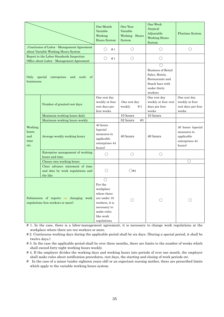|                                         |                                                                                       | One-Month<br>One-Year<br>Variable<br>Variable<br>Working<br>Working Hours<br>Hours System<br>System                                                |                               | One-Week<br>Atypical<br>Adjustable<br><b>Working Hours</b><br>System                                                                                        | <b>Flextime System</b>                                                     |
|-----------------------------------------|---------------------------------------------------------------------------------------|----------------------------------------------------------------------------------------------------------------------------------------------------|-------------------------------|-------------------------------------------------------------------------------------------------------------------------------------------------------------|----------------------------------------------------------------------------|
|                                         | .Conclusion of Labor - Management Agreement<br>about Variable Working Hours System    | $(\ )$<br>#1                                                                                                                                       | $\bigcirc$                    | $\bigcirc$                                                                                                                                                  | $\bigcirc$                                                                 |
|                                         | Report to the Labor Standards Inspection<br>Office about Labor - Management Agreement | #1<br>()                                                                                                                                           | $\bigcirc$                    | $\bigcirc$                                                                                                                                                  |                                                                            |
| Only<br>businesses                      | special<br>enterprises<br>and<br>scale<br>of                                          |                                                                                                                                                    |                               | $\left(\begin{array}{c} \end{array}\right)$<br><b>Business of Retail</b><br>Sales, Hotels,<br>Restaurants and<br>Snack bars with<br>under thirty<br>workers |                                                                            |
|                                         | Number of granted rest days                                                           | One rest day<br>weekly or four<br>rest days per<br>four weeks                                                                                      | One rest day.<br>weekly<br>#2 | One rest day<br>weekly or four rest<br>days per four<br>weeks                                                                                               | One rest day<br>weekly or four<br>rest days per four<br>weeks              |
|                                         | Maximum working hours daily                                                           |                                                                                                                                                    | 10 hours                      | 10 hours                                                                                                                                                    |                                                                            |
|                                         | Maximum working hours weekly                                                          |                                                                                                                                                    | 52 hours<br>#3                |                                                                                                                                                             |                                                                            |
| Working<br>hours<br>and<br>time<br>etc. | Average weekly working hours                                                          | 40 hours<br>(special)<br>measures to<br>applicable<br>enterprises 44<br>hours)                                                                     | 40 hours                      | 40 hours                                                                                                                                                    | 40 hours (special<br>measures to<br>applicable<br>enterprises 44<br>hours) |
|                                         | Enterprise management of working<br>hours and time                                    | ()                                                                                                                                                 | $\bigcirc$                    | $\bigcirc$                                                                                                                                                  |                                                                            |
|                                         | Choose own working hours                                                              |                                                                                                                                                    |                               |                                                                                                                                                             | ∩                                                                          |
|                                         | Clear advance statement of time<br>and date by work regulations and<br>the like       |                                                                                                                                                    | ( )#4                         |                                                                                                                                                             |                                                                            |
|                                         | Submission of reports on changing work<br>regulations (ten workers or more)           | $\left(\right)$<br>For the<br>workplace<br>where there<br>are under 10<br>workers, it is<br>necessary to<br>make rules<br>like work<br>regulations |                               | ()                                                                                                                                                          |                                                                            |

# 1. In the case, there is a labor-management agreement, it is necessary to change work regulations at the workplace where there are ten workers or more.

# 2. Continuous working days during the applicable period shall be six days. (During a special period, it shall be twelve days.)

# 3. In the case the applicable period shall be over three months, there are limits to the number of weeks which shall exceed forty-eight working hours weekly.

# 4. If the employer divides the working days and working hours into periods of over one month, the employer shall make rules about notification procedures, rest days, the starting and closing of work periods etc.

# In the case of a minor (under eighteen years old) or an expectant nursing mother, there are prescribed limits which apply to the variable working hours system.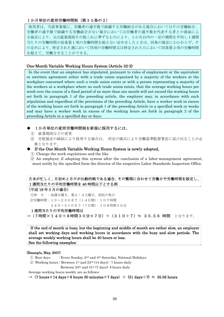## 1か月単位の変形労働時間制(第32条の2)

使用者は、当該事業場に、労働者の過半数で組織する労働組合がある場合においてはその労働組合、 労働者の過半数で組織する労働組合がない場合においては労働者の過半数を代表する者との書面によ る協定により、又は就業規則その他これに準ずるものにより、1か月以内の一定の期間を平均し1週間 当たりの労働時間が前条第1項の労働時間を超えない定めをしたときは、同条の規定にかかわらず、そ の定めにより、特定された週において同項の労働時間又は特定された日において同条第2項の労働時間 を超えて、労働させることができる。

## One-Month Variable Working Hours System (Article 32-2)

 In the event that an employer has stipulated, pursuant to rules of employment or the equivalent or awritten agreement either with a trade union organized by a majority of the workers at the workplace concerned where such a trade union exists or with a person representing a majority of the workers at a workplace where no such trade union exists, that the average working hours per week over the course of a fixed period of no more than one month will not exceed the working hours set forth in paragraph 1 of the preceding article, the employer may, in accordance with such stipulation and regardless of the provisions of the preceding Article, have a worker work in excess of the working hours set forth in paragraph 1 of the preceding Article in a specified week or weeks and may have a worker work in excess of the working hours set forth in paragraph 2 of the preceding Article in a specified day or days.

## 1か月単位の変形労働時間制を新規に採用するには、

- ① 就業規則などの変更
- ② 労使協定の締結により採用する場合は、 所定の様式により労働基準監督署長に届け出ることが必 要となります。
- ◆ If the One Month Variable Working Hours System is newly adopted,
- ① Change the work regulations and the like

② An employer, if adopting this system after the conclusion of a labor-management agreement, must notify by the specified form the director of the respective Labor Standards Inspection Office.



#### (Example, May, 2007)

- $\Omega$  Rest days : Every Sunday,  $2^{nd}$  and  $4^{th}$  Saturday, National Holidays
- $\textcircled{2}$  Working hours : Between 1<sup>st</sup> and 23<sup>rd</sup> (14 days) : 7 hours daily
	- Between  $24<sup>th</sup>$  and  $31<sup>st</sup>$  (7 days): 8 hours daily

Average working hours weekly are as follows:

 $\rightarrow$  (7 hours  $\times$  14 days + 8 hours 30 minutes  $\times$  7 days)  $\div$  (31 days  $\div$  7)  $\div$  35.56 hours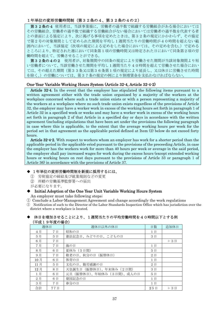## 1年単位の変形労働時間制(第32条の4、第32条の4の2)

第32条の4 使用者は、当該事業場に,労働者の過半数で組織する労働組合がある場合においては その労働組合、労働者の過半数で組織する労働組合がない場合においては労働者の過半数を代表する者 との書面による協定により、次に掲げる事項を定めたときは、第32条の規定にかかわらず、その協定 で第2号の対象期間として定められた期間を平均し1週間当たりの労働時間が40時間を超えない範 囲内において、当該協定(次項の規定による定めをした場合においては、その定めを含む。)で定める ところにより、特定された週において同条第1項の労働時間又は特定された日において同条第2項の労 働時間を超えて、労働させることができる。

第32条の4の2 使用者が、対象期間中の同条の規定により労働させた期間が当該対象期間より短 い労働者について、当該労働させた期間を平均し1週間当たり40時間を超えて労働させた場合におい ては、その超えた期間(第33条又は第36条第1項の規定により延長し、又は休日に労働させた時間 を除く。)の労働については、第37条の規定の例により割増賃金を支払わなければならない。

## One-Year Variable Working Hours System (Article 32-4, Article 32-4-2)

Article 32-4. In the event that the employer has stipulated the following items pursuant to a written agreement either with the trade union organized by a majority of the workers at the workplace concerned where such a trade union exists or with a person representing a majority of the workers at a workplace where no such trade union exists regardless of the provisions of Article 32, the employer may have a worker work in excess of the working hours set forth in paragraph 1 of Article 32 in a specified week or weeks and may have a worker work in excess of the working hours set forth in paragraph 2 of that Article in a specified day or days in accordance with the written agreement (including stipulations that have been set under the provisions the following paragraph in case where this is applicable, to the extent that the average working hours per week for the period set in that agreement as the applicable period defined at Item (2) below do not exceed forty hours.

Article 32-4-2. With respect to workers whom an employer has work for a shorter period than the applicable period in the applicable eriod pursuant to the provisions of the preceeding Article, in case the employer has the workers work for more than 40 hours per week or average in the said period, the employer shall pay increased wages for work during the excess hours (except extended working hours or working hours on rest days pursuant to the provisions of Article 33 or paragraph 1 of Article 36) in accordance with the provisions of Article 37.

## ◆ 1年単位の変形労働時間制を新規に採用するには、

- ① 労使協定の締結及び就業規則などの変更
- ② 所轄の労働基準監督署への届出
- が必要になります。

## Initial Adoption of the One Year Unit Variable Working Hours System

An employer must take following steps;

- ① Conclude a Labor-Management Agreement and change accordingly the work regulations
- ① Notification of such to the Director of the Labor Standards Inspection Office which has jurisdiction over the district where a workplace is located.

## ◆ 休日を増加させることにより、1週間当たりの平均労働時間を40時間以下とする例 (平成19年度の場合)

| 週休日 |     | 週休日以外の休日                  | 日数  | 追加休日  |
|-----|-----|---------------------------|-----|-------|
| 4月  | 7日  | 昭和の日                      | 1日  |       |
| 5月  | 5日  | 憲法記念日、みどりの日、こどもの日         | 3日  |       |
| 6月  | 7日  |                           |     | $+3E$ |
| 7月  | 7日  | 海の日                       | 1日  |       |
| 8月  | 6日  | 夏休み (5日間)                 | 5日  |       |
| 9月  | 7日  | 敬老の日、秋分の日(振替休日)           | 2E  |       |
| 10月 | 6日  | 体育の日                      | 1日  |       |
| 11月 | 5日  | 文化の日、勤労感謝の日               | 2E  |       |
| 12月 | 8日  | 天皇誕生日 (振替休日)、年末休み (2日間)   | 3日  |       |
| 1月  | 6日  | 元旦 (振替休日)、年始休み (3日間)、成人の日 | 5日  |       |
| 2月  | 6日  | 建国記念の日                    | 1日  |       |
| 3月  | 7日  | 春分の日                      | 1日  |       |
| 合計  | 77日 |                           | 25日 | $+3E$ |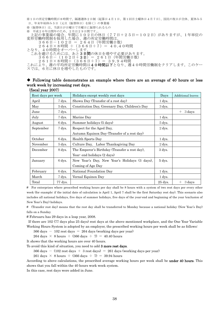※1日の所定労働時間が8時間で、隔週週休2日制(起算日4月1日、第1回目土曜休日4月7日)、国民の祝日が全休、夏休み5 日、年末年始休み5日(元旦(振替休日)を除く)の事業場 ※(振替休日)は、当該日が日曜日で月曜日に振替られるもの ※ 平成20年は閏年のため、2月は29日間です。 上記の事業場の場合、年間に102日の休日(77日+25日=102日)がありますが、1年単位の 変形労働時間制を採用した場合、週の所定労働時間は、 366日-102日 = 264日(年間労働日数)  $264$ 日×8時間 ÷(366日÷7)= 40.40時間 **となり、40時間をオーバーします** これを避けるためには、あと3日間の休日を増やす必要があります。 366日-(102日+3日)= 261日(年間労働日数)  $2\;6\;1\;\text{{\rm H}}\times8\;\text{{\rm H}}$ 間:( $3\;6\;6\;\text{{\rm H}}\div7)$  =  $3\;9\;9\;4\;\text{{\rm H}}$ 間

これにより、週の平均所定労働時間は40時間以下となり、週40時間労働制をクリアします。このケー スでは、6月に休日を増やしたものです。

## ◆ Following table demonstrates an example where there are an average of 40 hours or less work week by increasing rest days.

(fiscal year 2007)

| Rest days per week |         | Holidays except weekly rest days               | Days      | <b>Additional leaves</b> |
|--------------------|---------|------------------------------------------------|-----------|--------------------------|
| April              | 7 dys.  | Showa Day (Transfer of a rest day)             | 1 dys.    |                          |
| May                | 5 dys.  | Constitution Day, Greenary Day, Children's Day | 3 dys.    |                          |
| June               | 7 dys.  |                                                |           | 3 days<br>$+$            |
| July               | 7 dys.  | Marine Day                                     | 1 dys.    |                          |
| August             | 6 dys.  | Summer holidays (5 days)                       | 5 dys.    |                          |
| September          | 7 dys.  | Respect for the Aged Day,                      | $2$ dys.  |                          |
|                    |         | Autumn Equinox Day (Transfer of a rest day)    |           |                          |
| October            | 6 dys.  | Health Sports Day                              | 1 dys.    |                          |
| November           | 5 dys.  | Culture Day, Labor Thanksgiving Day            | $2$ dys.  |                          |
| December           | 8 dys.  | The Emperor's Birthday (Transfer a rest day),  | 3 dys.    |                          |
|                    |         | Year- end holidays (2 days)                    |           |                          |
| January            | 6 dys.  | New Year's Day, New Year's Holidays (3 days),  | 5 dys.    |                          |
|                    |         | Coming of Age Day                              |           |                          |
| February           | 6 dys.  | National Foundation Day                        | 1 dys.    |                          |
| March              | 7 dys.  | Vernal Equinox Day                             | 1 dys.    |                          |
| Total              | 77 dys. |                                                | $25$ dys. | $+$ 3 days               |

# For enterprises where prescribed working hours per day shall be 8 hours with a system of two rest days per every other week (for example; if the initial date of calculation is April 1, April 7 shall be the first Saturday rest day). This scenario also includes all national holidays, five days of summer holidays, five days of the year-end and beginning of the year (exclusion of New Year's Day) holidays.

# (Transfer rest day) means that the rest day shall be transferred to Monday because a national holiday (New Year's Day) falls on a Sunday.

# Februaru has 29 days in a leap year, 2008.

If there are 102 (77 days plus 25 days) rest days at the above mentioned workplace, and the One Year Variable Working Hours System is adopted by an employer, the prescribed working hours per week shall be as follows:

 $366 \text{ days} - 102 \text{ rest days} = 264 \text{ days}$  (working days per year)

264 days  $\times$  8 hours  $\div$  (366 days  $\div$  7) = 40.40 hours

It shows that the working hours are over 40 hours.

To avoid this kind of situation, you need to add 3 more rest days.

 $366 \text{ days} - (102 \text{ rest days} + 3 \text{ rest days}) = 261 \text{ days}$  (working days per year)

261 days  $\times$  8 hours  $\div$  (366 days  $\div$  7) = 39.94 hours

According to above calculations, the prescribed average working hours per week shall be under 40 hours. This shows that you fall within the 40 hours work week system.

In this case, rest days were added in June.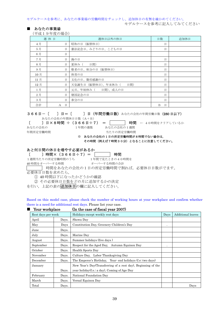モデルケースを参考に、あなたの事業場の労働時間をチェックし、追加休日の有無を確かめてください。 モデルケースを参考に記入してみてください

■ あなたの事業場

(平成19年度の場合)

|     | 週休日               | 週休日以外の休日                   | 日数     | 追加休日 |
|-----|-------------------|----------------------------|--------|------|
| 4月  | 日                 | 昭和の日(振替休日)                 | 日      |      |
| 5月  | 日                 | 憲法記念日、みどりの日、こどもの日          | 日      |      |
| 6月  | 日                 |                            |        |      |
| 7月  | 日                 | 海の日                        | 日      |      |
| 8月  | 日                 | 夏休み(<br>日間)                | 日      |      |
| 9月  | 日                 | 敬老の日、秋分の日(振替休日)            | 日      |      |
| 10月 | 日                 | 体育の日                       | 日      |      |
| 11月 | 日                 | 文化の日、勤労感謝の日                | 日      |      |
| 12月 | 日                 | 天皇誕生日 (振替休日)、年末休み (<br>日間) | 日      |      |
| 1月  | 日                 | 元旦、年始休み ( 日間)、成人の日         | 日      |      |
| 2月  | 日                 | 建国記念の日                     | 日      |      |
| 3月  | 日                 | 春分の日                       | 日      |      |
| 合計  | 日<br>$\mathbf{A}$ |                            | 日<br>B |      |

366日ー〔 〕日=〔 〕日(年間労働日数) あなたの会社の年間労働日数(280日以下)

あなたの会社の年間休日日数(A+B)

[ ] 日×8時間 ÷ (366日÷7) = | 時間 ← 40時間をクリアしているか

あなたの会社の 1年間の週数 あなたの会社の1週間 年間所定労働時間 きょう インスコン エコン コントリの所定労働時間

## ※ あなたの会社の1日の所定労働時間が8時間でない場合は,

その時間(例えば7時間30分)となることに注意してください。

## あと何日間の休日を増やす必要があるか

 $[$  〕時間× (366日÷7) = | 時間

1週間当たりの所定労働時間のうち 1年間で見たときの40時間を

40 時間をオーバーする時間 オーバーする時間の合計

■■■ 時間をあなたの会社の1日の所定労働時間で割れば、必要休日日数がでます。

必要休日日数を求めたら,

① 40 時間以下になったかどうかの確認

② その必要休日日数をどの月に追加するかの決定

を行い、上記の表の追加休日の欄に記入してください。

Based on this model case, please check the number of working hours at your workplace and confirm whether there is a need for additional rest days. Please list your case.

| Rest days per week |       | Holidays except weekly rest days                             | Days      | Additional leaves |
|--------------------|-------|--------------------------------------------------------------|-----------|-------------------|
| April              | Days. | Showa Day                                                    |           |                   |
| May                | Days  | Constitution Day, Greenery Children's Day                    |           |                   |
| June               | Days. |                                                              |           |                   |
| July               | Days. | Marine Day                                                   |           |                   |
| August             | Days. | Summer holidays (five days)                                  |           |                   |
| September          | Days. | Respect for the Aged Day, Autumn Equinox Day                 | $\bullet$ |                   |
| October            | Days. | Health Sports Day                                            |           |                   |
| November           | Days. | Culture Day, Labor Thanksgiving Day                          |           |                   |
| December           | Days. | The Emperor's Birthday, Year- end holidays (f.e. two days)   |           |                   |
| January            |       | New Year's Day(Transferring of a rest day), Beginning of the |           |                   |
|                    | Days. | year holiday(f.e., a day), Coming of Age Day                 |           |                   |
| February           | Days. | National Foundation Day                                      |           |                   |
| March              | Days. | Vernal Equinox Day                                           |           |                   |
| Total              | Days. |                                                              |           | Days              |

■ Your workplace (In the case of fiscal year 2007)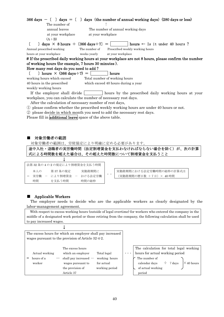|                                                                         | $366 \text{ days} - 1 \text{ days} = 1$ days (the number of annual working days) (280 days or less)  |
|-------------------------------------------------------------------------|------------------------------------------------------------------------------------------------------|
| The number of                                                           |                                                                                                      |
| annual leaves                                                           | The number of annual working days                                                                    |
| at your workplace                                                       | at your workplace                                                                                    |
| $(A+B)$                                                                 |                                                                                                      |
| $\alpha$ days $\times$ 8 hours $\div$ [366 days $\div$ 7] = [           | hours $\leftarrow$ Is it under 40 hours ?                                                            |
| Annual prescribed working                                               | The number of Prescribed weekly working hours                                                        |
| hours at your workplace                                                 | weeks yearly<br>at your workplace                                                                    |
|                                                                         | # If the prescribed daily working hours at your workplace are not 8 hours, please confirm the number |
| of working hours (for example, 7 hours 30 minutes).                     |                                                                                                      |
| How many rest days do you need to add?                                  |                                                                                                      |
| ) hours $\times$ (366 days $\div$ 7) =<br>$\left\lfloor -\right\rfloor$ | hours                                                                                                |
| working hours which exceed                                              | Total number of working hours                                                                        |
| 40 hours in the prescribed                                              | which exceed 40 hours during a year                                                                  |
| weekly working hours                                                    |                                                                                                      |
| If the employer shall divide                                            | hours by the prescribed daily working hours at your                                                  |
|                                                                         | workplace, you can calculate the number of necessary rest days.                                      |
|                                                                         | After the calculation of necessary number of rest days,                                              |
|                                                                         | 1) please confirm whether the prescribed weekly working hours are under 40 hours or not.             |
|                                                                         | 2 please decide in which month you need to add the necessary rest days.                              |

Please fill in **additional leave** space of the above table.

## ■ 対象労働者の範囲

対象労働者の範囲は、労使協定により明確に定める必要があります。

途中入社・退職者の実労働時間(法定割増賃金を支払わなければならない場合を除く)が、次の計算 式による時間数を超えた場合は、その超えた時間数について割増賃金を支払うこと

| 法第32条の4の2の規定により割増賃金を支払う時間 |     |  |         |  |         |  |
|---------------------------|-----|--|---------|--|---------|--|
|                           | 本人の |  | 第37条の規定 |  | 実勤務期間に  |  |
|                           | 実労働 |  | により割増賃金 |  | おける法定労働 |  |
|                           | 時間  |  | を支払う時間  |  | 時間の総枠   |  |

実勤務期間における法定労働時間の総枠の計算式は (実勤務期間の暦日数 ÷7日)× 40 時間

## ■ Applicable Workers

 The employer needs to decide who are the applicable workers as clearly designated by the labor-management agreement.

With respect to excess working hours (outside of legal overtime) for workers who entered the company in the middle of a designated work period or those retiring from the company, the following calculation shall be used to pay increased wages.

|                                        | ₩                                                                                                                                                                                       |                                                                                                                                                                                               |
|----------------------------------------|-----------------------------------------------------------------------------------------------------------------------------------------------------------------------------------------|-----------------------------------------------------------------------------------------------------------------------------------------------------------------------------------------------|
|                                        | The excess hours for which an employer shall pay increased<br>wages pursuant to the provision of Article 32-4-2.                                                                        |                                                                                                                                                                                               |
| Actual working<br>hours of a<br>worker | The excess hours<br>which an employer<br>Total legal<br>working hours<br>shall pay increased $-$<br>for actual<br>wages pursuant to<br>the provision of<br>working period<br>Article 37 | The calculation for total legal working<br>hours for actual working period<br>$\cdots$<br>The number of<br>$\div$ 7 days<br>calendar days<br>$\times$ 40 hours<br>of actual working<br>period |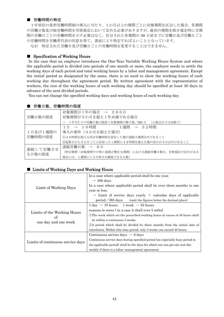## ■ 労働時間の特定

1年単位の変形労働時間制の導入に当たり、1か月以上の期間ごとに対象期間を区分した場合、各期間 の労働日数及び総労働時間を労使協定において定める必要がありますが、最初の期間を除き協定時に全期 間の労働日ごとの労働時間を示す必要はなく、区分された各期間の 30 日前までに労働日及び労働日ごと の労働時間を労働者代表の同意を得て、書面により特定すればよいこととなっています。

なお 特定された労働日及び労働日ごとの労働時間を変更することはできません。

## ■ Specification of Working Hours

 In the case that an employer introduces the One-Year Variable Working Hours System and where the applicable period is divided into periods of one month or more, the employer needs to settle the working days of each period and total working hours by a labor and management agreement. Except the initial period as designated by the same, there is no need to show the working hours of each working day throughout the agreement period. By written agreement with the representative of workers, the rest of the working hours of each working day should be specified at least 30 days in advance of the next divided periods.

You can not change the specified working days and working hours of each working day.

## ■ 労働日数、労働時間の限度

|          | 対象期間が1年の場合 → 280日                             |  |  |  |  |  |
|----------|-----------------------------------------------|--|--|--|--|--|
| 労働日数の限度  | 対象期間が3か月を超え1年未満である場合                          |  |  |  |  |  |
|          | → 1年当たりの労働日数の限度×対象期間の暦日数/365日 (小数点以下は切捨て)     |  |  |  |  |  |
|          | 1 日 → 1 0 時間<br>1週間 → 52時間                    |  |  |  |  |  |
| 1日及び1週間の | 導入の要件(3か月を超えた場合)                              |  |  |  |  |  |
| 労働時間の限度  | 148時間を超える所定労働時間を設定した週が連続3週間以内であること            |  |  |  |  |  |
|          | ②起算日から3か月ごとに区切った1期間に48時間を超える週の初日が3日以内であること    |  |  |  |  |  |
| 連続して労働させ | 連続労働日数 → 6日                                   |  |  |  |  |  |
| る日数の限度   | (特定期間(対象期間中の特に業務が繁忙な期間)における連続労働日数は、労使協定の定めがある |  |  |  |  |  |
|          | 場合には、1週間に1日の休日が確保できる日数)                       |  |  |  |  |  |

## ■ Limits of Working Days and Working Hours

|                                   | In a case where applicable period shall be one year.                                     |
|-----------------------------------|------------------------------------------------------------------------------------------|
|                                   | $\rightarrow$ 280 days                                                                   |
| Limit of Working Days             | In a case where applicable period shall be over three months to one                      |
|                                   | year or less.                                                                            |
|                                   | $\rightarrow$ Limit of service days yearly $\times$ calendar days of applicable          |
|                                   | $period \diagup 365 \ days$ (omit the figures below the decimal place)                   |
|                                   | $1 \text{ day} \rightarrow 10 \text{ hours} 1 \text{ week} \rightarrow 52 \text{ hours}$ |
|                                   | reasons to enter (in a case it shall over 3 mths)                                        |
| Limits of the Working Hours<br>of | The week which set the prescribed working hours in excess of 48 hours shall              |
| one day and one week              | be within a continuous 3 weeks.                                                          |
|                                   | 2A period which shall be divided by three months from the initial date of                |
|                                   | calculation. Within this time period, only 3 weeks can exceed 48 hours.                  |
|                                   | Continuous service days $\rightarrow$ 6 days                                             |
| Limits of continuous service days | Continuous service days during specified period (an especially busy period in            |
|                                   | the applicable period) shall be the days for which one can get one rest day              |
|                                   | weekly if there is a labor-management agreement.                                         |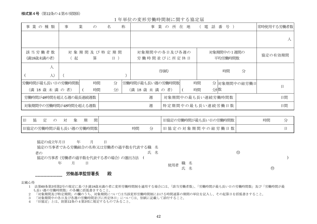様式第4号(第12条の4第6項関係)

1年単位の変形労働時間制に関する協定届

| 事業の種類                                | 事 | 業<br>$\mathcal{D}$ | 名                            | 称 | 事<br>業                               | 所<br>$\mathcal{D}$ | 在 地 |          | 話番<br>電           | 号 )                   |              | 常時使用する労働者数 |
|--------------------------------------|---|--------------------|------------------------------|---|--------------------------------------|--------------------|-----|----------|-------------------|-----------------------|--------------|------------|
|                                      |   |                    |                              |   |                                      |                    |     |          |                   |                       |              | $\lambda$  |
| 該当労働者数<br>(満18歳未満の者)                 | 起 | 算                  | 対 象 期 間 及 び 特 定 期 間<br>$H$ ) |   | 対象期間中の各日及び各週の<br>労働時間並びに所定休日         |                    |     |          |                   | 対象期間中の1週間の<br>平均労働時間数 |              | 協定の有効期間    |
| 人<br>$\lambda$                       |   |                    |                              |   |                                      | (別紙)               |     |          |                   | 時間                    | 分            |            |
| 労働時間が最も長い日の労働時間数<br>(満 18 歳 未 満 の 者) |   | 時間<br>時間           | 分<br>分                       |   | 労働時間が最も長い週の労働時間数<br>(満 18 歳 未 満 の 者) |                    |     | 時間<br>時間 | 分 数               |                       | 分 対象期間中の総労働日 | 日          |
| 労働時間が48時間を超える週の最長連続週数                |   |                    |                              |   | 週                                    |                    |     |          | 対象期間中の最も長い連続労働時間数 |                       |              | 日間         |
| 対象期間中の労働時間が48時間を超える週数                |   |                    |                              |   | 週                                    |                    |     |          | 特定期間中の最も長い連続労働日数  |                       |              | 日間         |

| $\mathsf{H}$<br>間<br>協定の対象期 |    | 旧協定の労働時間が最も長い日の労働時間数 | 時間 |
|-----------------------------|----|----------------------|----|
| 旧協定の労働時間が最も長い週の労働時間数        | 時間 | 旧協定の対象期間中の総労働日数      |    |

| 協定の成立年月日                          | 年 | Β |    |        |  |             |   |  |
|-----------------------------------|---|---|----|--------|--|-------------|---|--|
| 協定の当事者である労働組合の名称又は労働者の過半数を代表する職 名 |   |   |    |        |  |             |   |  |
| 者の                                |   |   | 氏名 |        |  | $_{\oplus}$ |   |  |
| 協定の当事者(労働者の過半数を代表する者の場合)の選出方法     |   |   |    |        |  |             |   |  |
| 年                                 |   |   |    | 使用者 職名 |  |             |   |  |
|                                   |   |   |    |        |  |             | 仰 |  |
|                                   |   |   |    |        |  |             |   |  |

## 労働基準監督署長 殿

#### 記載心得

- 1 法第60条第3項第2号の規定に基づき満18歳未満の者に変形労働時間制を適用する場合には、「該当労働者数」、「労働時間が最も長い日の労働時間数」及び「労働時間が最 も長い週の労働時間数」の各欄に括弧書きすること。
- 2 「対象期間及び特定期間」の欄のうち、対象期間については当該変形労働時間制における時間通算の期間の単位を記入し、その起算日を括弧書きすること。
- 3 「対象期間中の各日及び各週の労働時間並びに所定休日」については、別紙に記載して添付すること。
- 4 「旧協定」とは、則第12条の4第3項に規定するものであること。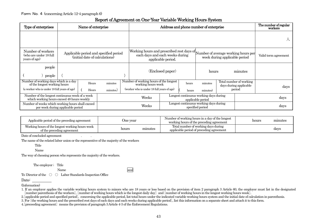## Report of Agreement on One-Year Variable Working Hours System

| Type of enterprises                                                                                                   | Name of enterprise                                                                    |                |                     |  |                                                                                                                                                                         | Address and phone number of enterprise                     |                |                      |      |                                                             | The number of regular<br>workers |
|-----------------------------------------------------------------------------------------------------------------------|---------------------------------------------------------------------------------------|----------------|---------------------|--|-------------------------------------------------------------------------------------------------------------------------------------------------------------------------|------------------------------------------------------------|----------------|----------------------|------|-------------------------------------------------------------|----------------------------------|
|                                                                                                                       |                                                                                       |                |                     |  |                                                                                                                                                                         |                                                            |                |                      |      |                                                             |                                  |
| Number of workers<br>(who are under 18 full<br>years of age)                                                          | Applicable period and specified period<br>(initial date of calculations)              |                |                     |  | Working hours and prescribed rest days of Number of average working hours per<br>each days and each weeks during<br>week during applicable period<br>applicable period. |                                                            |                | Valid term agreement |      |                                                             |                                  |
| people<br>people                                                                                                      |                                                                                       |                |                     |  |                                                                                                                                                                         | (Enclosed paper)                                           |                | hours                |      | minutes                                                     |                                  |
| Number of working days which is a day<br>of the longest working hours<br>(a worker who is under 18 full years of age) |                                                                                       | Hours<br>Hours | minutes<br>minutes) |  | Number of working hours of the longest<br>working hours week<br>(worker who is under 18 full years of age)                                                              |                                                            | hours<br>hours | minutes<br>minutes)  |      | Total number of working<br>days during applicable<br>period | days                             |
| Number of the longest continuous week of a week<br>which working hours exceed 48 hours weekly                         |                                                                                       |                | Weeks               |  | Longest continuous working days during<br>applicable period                                                                                                             |                                                            |                | days                 |      |                                                             |                                  |
|                                                                                                                       | Number of weeks which working hours shall exceed<br>per week during applicable period |                |                     |  | Weeks                                                                                                                                                                   | Longest continuous working days during<br>specified period |                |                      | days |                                                             |                                  |

| Applicable period of the preceding agreement<br>One year                      |       |         | Number of working hours in a day of the longest<br>working hours of the preceding agreement | hours | minutes |
|-------------------------------------------------------------------------------|-------|---------|---------------------------------------------------------------------------------------------|-------|---------|
| Working hours of the longest working hours week<br>of the preceding agreement | hours | minutes | Total number of working days during<br>applicable period of preceding agreement             |       | days    |

Date of concluded agreement .

The name of the related labor union or the representive of the majority of the workers

Name

The way of choosing person who represents the majority of the workers.

The employer ; Title

Name seal

seal

To: Director of the ○ ○ Labor Standards Inspection Office

## Date:

(Information)

1. If an employer applies the variable working hours system to minors who are 18 years or less based on the provision of item 2 paragraph 3 Article 60, the employer must list in the designated [number parenthesis of the workers], [number of working hours which is the longest daily day] and [number of working hours in the longest working hours week].

2.[applicable period and specified period], concerning the applicable period, list total hours under the indicated variable working hours system and the initial date of calculation in parenthesis.

3. For [the working hours and the prescribed rest days of each days and each weeks during applicable period], list this information on a separate sheet and attach it to this form.

4.[preceeding agreement] means the provision of paragraph 3 Article 4-3 of the Enforcement Regulations.

Title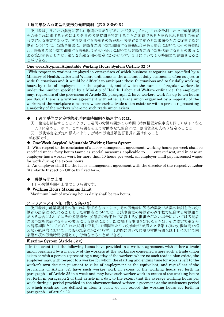## 1週間単位の非定型的変形労働時間制(第32条の5)

使用者は、日ごとの業務に著しい繁閑の差が生ずることが多く、かつ、これを予測した上で就業規則 その他これに準ずるものにより各日の労働時間を特定することが困難であると認められる厚生労働省 令で定める事業であって、常時使用する労働者の数が厚生労働省令で定める数未満のものに従事する労 働者については、当該事業場に、労働者の過半数で組織する労働組合がある場合においてはその労働組 合、労働者の過半数で組織する労働組合がない場合においては労働者の過半数を代表する者との書面に よる協定があるときは、第32条第2項の規定にかかわらず、1日について10時間まで労働させるこ とができる。

## One week Atypical Adjustable Working Hours System (Article 32-5)

 With respect to workers employed in enterprises of which business categories are specified by a Ministry of Health, Labor and Welfare ordinance as the amount of daily business is often subject to wide fluctuations and it would be difficult to anticipate these fluctuations and to fix daily working hours by rules of employment or the equivalent, and of which the number of regular workers is under the number specified by a Ministry of Health, Labor and Welfare ordinance, the employer may, regardless of the provisions of Article 32, paragraph 2, have workers work for up to ten hours per day, if there is a written agreement with either a trade union organized by a majority of the workers at the workplace concerned where such a trade union exists or with a person representing a majority of the workers where no such trade union exists.

## 1週間単位の非定型的変形労働時間制を採用するには、

① 協定を締結することにより、1週間の労働時間が40時間(特例措置対象事業も同じ)以下になる ように定める、かつ、この時間を超えて労働させた場合には、割増賃金を支払う旨定めること ② 労使協定を所定の様式により、所轄の労働基準監督署長に届け出ること

が必要です。

## ◆ One-Week Atypical Adjustable Working Hours System

① With respect to the conclusion of a labor-management agreement, working hours per week shall be specified under forty hours (same as special measures applicable to enterprises), and in case an employer has a worker work for more than 40 hours per week, an employer shall pay increased wages for work during the excess hours.

② An employer shall file the labor–management agreement with the director of the respective Labor Standards Inspection Office by fixed form.

## 労働時間の上限

1日の労働時間の上限は10時間です。

◆ Working Hours Maximum Limit

Maximum limit of working hours daily shall be ten hours.

## フレックスタイム制(第32条の3)

使用者は、就業規則その他これに準ずるものにより、その労働者に係る始業及び終業の時刻をその労 働者の決定にゆだねることとした労働者については、当該事業場の労働者の過半数で組織する労働組合 がある場合においてはその労働組合、労働者の過半数で組織する労働組合がない場合においては労働者 の過半数を代表する者との書面による協定により、次に掲げる事項を定めたときは、その協定で第2号 の清算期間として定められた期間を平均し1週間当たりの労働時間が第32条第1項の労働時間を超 えない範囲内において、同条の規定にかかわらず、1週間において同項の労働時間又は1日において同 条第2項の労働時間を超えて、労働させることができる。

## Flextime System (Article 32-3)

 In the event that the following Items have provided in a written agreement with either a trade union organized by a majority of the workers at the workplace concerned where such a trade union exists or with a person representing a majority of the workers where no such trade union exists, the employer may, with respect to a worker for whom the starting and ending time for work is left to the worker's own decision pursuant to rules of employment or the equivalent, and regardless of the provisions of Article 32, have such worker work in excess of the working hours set forth in paragraph 1 of Article 32 in a week and may have such worker work in excess of the working hours set forth in paragraph 2 of that article in a day, to the extent that the average working hours per week during a period provided in the abovementioned written agreement as the settlement period of which conditios are defined in Item 2 below do not exceed the working hours set forth in paragraph 1 of article 32.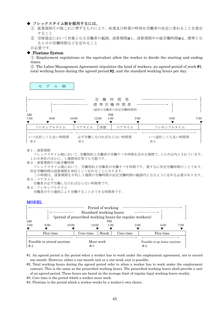## ◆ フレックスタイム制を採用するには、

- ① 就業規則その他これに準ずるものにより、始業及び終業の時刻を労働者の決定に委ねることを規定 すること
- ② 労使協定において対象となる労働者の範囲、清算期間※1、清算期間中の総労働時間※2、標準とな る1日の労働時間などを定めること

が必要です。

## ◆ Flextime System

① Employment regulations or the equivalent allow the worker to decide the starting and ending times.

 $\Omega$  The Labor-Management Agreement stipulates the kind of workers, an agreed period of work #1, total working hours during the agreed period #2, and the standard working hours per day.





#### ※1:清算期間

 フレックスタイム制において、労働契約上労働者が労働すべき時間を定める期間で、1か月以内とされています。 1か月単位のほかに、1週間単位等でも可能です。

※2:清算期間中の総労働時間

 フレックスタイム制において、労働契約上労働者が労働すべき時間です。要するに所定労働時間のことであり、 所定労働時間は清算期間を単位として定めることになります。

この時間は、清算期間を平均し1週間の労働時間が法定労働時間の範囲内となるように定める必要があります。 ※3:コアタイム

労働者が必ず労働しなければならない時間帯です。

※4:フレキシブルタイム

労働者がその選択により労働することができる時間帯です。

#### MODEL

|            |                            |       | Standard working hours | Period of working |                                                          |      |                             |      |
|------------|----------------------------|-------|------------------------|-------------------|----------------------------------------------------------|------|-----------------------------|------|
|            |                            |       |                        |                   | (period of prescribed working hours for regular workers) |      |                             |      |
| AM<br>7:00 | 9:00                       | 10:00 | 12:00                  | <b>PM</b><br>1:00 |                                                          | 3:00 | 5:00                        | 7:00 |
|            |                            |       |                        |                   |                                                          |      |                             |      |
|            | Flex time                  |       | Core time              | Break             | Core time                                                |      | Flex time                   |      |
| #4         | Possible to attend anytime |       | Must work<br>#3        |                   |                                                          | #4   | Possible to go home anytime |      |

#1. An agreed period is the period when a worker has to work under the employment agreement, not to exceed one month. However, either a one-month unit or a one-week unit is possible.

#2. Total working hours during the agreed period refer to when a worker has to work under the employment contract. This is the same as the prescribed working hours. The prescribed working hours shall provide a unit of an agreed period. These hours are based on the average limit of regular legal working hours weekly.

#3. Core time is the period which a worker must work.

#4. Flextime is the period which a worker works by a worker's own choice.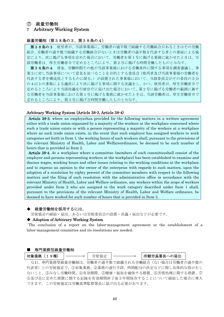## ⑦ 裁量労働制

## 7 Arbitrary Working System

## 裁量労働制(第38条の3、第38条の4)

第38条の3 使用者が、当該事業場に、労働者の過半数で組織する労働組合があるときはその労働 組合、労働者の過半数で組織する労働組合がないときは労働者の過半数を代表する者との書面による協 定により、次に掲げる事項を定めた場合において、労働者を第1号に掲げる業務に就かせたときは、当 該労働者は、厚生労働省令で定めるところにより、第2号に掲げる時間労働したものとみなす。

第38条の4 賃金、労働時間その他の当該事業場における労働条件に関する事項を調査審議し、事 業主に対し当該事項について意見を述べることを目的とする委員会(使用者及び当該事業場の労働者を 代表する者を構成員とするものに限る。)が設置された事業場において、当該委員会がその委員の5分 の4以上の多数による議決により次に掲げる事項に関する決議をし、かつ、使用者が、厚生労働省令で 定めるところにより当該決議を行政官庁に届け出た場合において、第2号に掲げる労働者の範囲に属す る労働者を当該事業場における第1号に掲げる業務に就かせたときは、当該労働者は、厚生労働省令で 定めるところにより、第3号に掲げる時間労働したものとみなす。

#### Arbitrary Working System (Article 38-3, Article 38-4)

Article 38-3. where an employerhas provided for the following matters in a written agreement either with a trade union organized by a majority of the workers at the workplace concerned where such a trade union exists or with a person representing a majority of the workers at a workplace where no such trade union exists, in the event that such employer has assigned workers to work categories set forth in Item 1, the working hours of such workers shall, pursuant to the provisions of the relevant Ministry of Health, Labor and Welfareordinance, be deemed to be such number of hours that is provided in Item 2.

Article 38-4. At a workplace where a committee (members of such committeeshall consist of the employer and persons representing workers at the workplace) has been established to examine and discuss wages, working hours and other issues relating to the working conditions at the workplace and to express an opinion to the owner of the enterprise with regards to such matters, upon the adoption of a resolution by eighty percent of the committee members with respect to the following matters and the filing of such resolution with the administrative office in accordance with the relevant Ministry of Health, Labor and Welfare ordinance, any workers within the scope of workers provided under Item 2 who are assigned to the work category described under Item 1 shall, pursuant to the provisions of the relevant Ministry of Health, Labor and Welfare ordinance, be deemed to have worked for such number of hours that is provided in Item 3.

## 裁量労働制を採用するには、

労使協定の締結・届出、あるいは労使委員会の設置・決議・届出などが必要です。

## ◆ Adoption of Arbitrary Working System

 The conclusion of a report on the labor-management agreement or the establishment of a labor-management committee and its resolutions are needed.

## ■ 専門業務型裁量労働制

対象業務(19種) │ ────→ │ 労使協定 │ ─────→ │所轄労基署長への届出

なお、専門業務型裁量労働制は、労働者の過半数で組織される労働組合(ない場合は労働者の過半数の 代表者)との労使協定で、①対象業務、②業務の遂行手段、時間配分の決定などに関し具体的な指示をし ないこと、③みなし労働時間、④有効期間、⑤健康・福祉を確保する措置、⑥苦情処理に関する措置、⑦ ⑤及び⑥に定めた措置に関する記録を有効期間終了後3年間保存することについて締結した場合に導入 できます。この労使協定は労働基準監督署長に届け出る必要があります。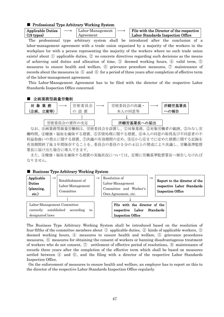#### ■ Professional Type Arbitrary Working System

| <b>Applicable Duties</b> | Labor-Management |  |
|--------------------------|------------------|--|
| $(19 \text{ types})$     | Agreement        |  |

File with the Director of the respective Labor Standards Inspection Office

The professional type arbitrary system shall be introduced after the conclusion of a labor-management agreement with a trade union organized by a majority of the workers in the workplace (or with a person representing the majority of the workers where no such trade union exists) about ① applicable duties, ② no concrete directives regarding such decisions as the means of achieving said duties and allocation of time, ③ deemed working hours, ④ valid term, ⑤ measures to ensure health and welfare, ⑥ grievance procedure measures, ⑦ maintenance of records about the measures in ⑤ and ⑥ for a period of three years after completion of effective term of the labor-management agreement.

 This Labor-Management Agreement has to be filed with the director of the respective Labor Standards Inspection Office concerned.



なお、企画業務型裁量労働制は、労使委員会を設置し、①対象業務、②対象労働者の範囲、③みなし労 働時間、④健康・福祉を確保する措置、⑤苦情処理に関する措置、⑥本人の同意の取得及び不同意者の不 利益取扱いの禁止に関する措置、⑦決議の有効期間の定め、⑧④から⑥までに定めた措置に関する記録を 有効期間終了後3年間保存することを、委員会の委員の5分の4以上の賛成により決議し、労働基準監督 署長に届け出た場合に導入できます。

また、④健康・福祉を確保する措置の実施状況については、定期に労働基準監督署長へ報告しなければ なりません。

## ■ Business Type Arbitrary Working System



The Business Type Arbitrary Working System shall be introduced based on the resolution of four-fifths of the committee members about  $\Omega$  applicable duties,  $\Omega$  kinds of applicable workers,  $\Omega$ deemed working hours, ④ measures to ensure health and welfare, ⑤ grievance procedures measures, ⑥ measures for obtaining the consent of workers or banning disadvantageous treatment of workers who do not consent,  $\mathcal{D}$  settlement of effective period of resolutions,  $\mathcal{D}$  maintenance of records three years after the completion of the effective term which shall be based on measures settled between ④ and ⑥, and the filing with a director of the respective Labor Standards Inspection Office.

 On the enforcement of measures to ensure health and welfare, an employer has to report on this to the director of the respective Labor Standards Inspection Office regularly.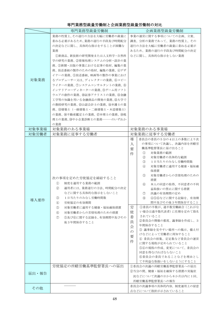|       | 専門業務型裁量労働制                                                                                                                                                                                                                                                                                                                                                                                                                                                                                                           | 企画業務型裁量労働制                                                                                                                                                                                                                                                                                                                                                                                                                                                                                                                                                                                                                                                                         |
|-------|----------------------------------------------------------------------------------------------------------------------------------------------------------------------------------------------------------------------------------------------------------------------------------------------------------------------------------------------------------------------------------------------------------------------------------------------------------------------------------------------------------------------|------------------------------------------------------------------------------------------------------------------------------------------------------------------------------------------------------------------------------------------------------------------------------------------------------------------------------------------------------------------------------------------------------------------------------------------------------------------------------------------------------------------------------------------------------------------------------------------------------------------------------------------------------------------------------------|
| 対象業務  | 業務の性質上、その遂行の方法を大幅に労働者の裁量に<br>委ねる必要があるため、業務の遂行の手段及び時間配分<br>の決定などに関し、具体的な指示をすることが困難な<br>業務<br>①新商品、新技術の研究開発または人文科学・自然科<br>学の研究の業務、②情報処理システムの分析・設計の業<br>務、③新聞・出版の事業における記事の取材、編集の業<br>務、放送番組の製作のための取材、編集の業務、4デザ<br>イナーの業務、5放送番組、映画等の製作の事業におけ<br>るプロデューサー又は、ディレクターの業務、6コピー<br>ライターの業務、⑦システムコンサルタントの業務、⑧<br>インテリアコーディネーターの業務、⑨ゲーム用ソフト<br>ウエアの創作の業務、⑩証券アナリストの業務、⑪金融<br>工学等の知識を用いる金融商品の開発の業務、⑫大学で<br>の教授研究の業務、⑬公認会計士の業務、⑭弁護士の業<br>務、⑮建築士(一級建築士・二級建築士・木造建築士)<br>の業務、⑯不動産鑑定士の業務、⑰弁理士の業務、⑱税<br>理士の業務、⑬中小企業診断士の業務―――のいずれか<br>の業務 | 事業の運営に関する事項についての企画、立案、<br>調査、分析の業務であって、業務の性質上、その<br>遂行の方法を大幅に労働者の裁量に委ねる必要が<br>あるため、業務の遂行の手段及び時間配分の決定<br>などに関し、具体的な指示をしない業務                                                                                                                                                                                                                                                                                                                                                                                                                                                                                                                                                         |
| 対象事業場 | 対象業務のある事業場                                                                                                                                                                                                                                                                                                                                                                                                                                                                                                           | 対象業務のある事業場                                                                                                                                                                                                                                                                                                                                                                                                                                                                                                                                                                                                                                                                         |
| 対象労働者 | 対象業務に従事する労働者                                                                                                                                                                                                                                                                                                                                                                                                                                                                                                         | 対象業務に従事する労働者                                                                                                                                                                                                                                                                                                                                                                                                                                                                                                                                                                                                                                                                       |
| 導入要件  | 次の事項を定めた労使協定を締結すること<br>制度を適用する業務の範囲<br>(1)<br>(2)<br>適用者には、業務遂行の方法、時間配分の決定<br>などに関する具体的な指示をしないこと<br>1日当たりのみなし労働時間数<br>(3)<br>$\circled{4}$<br>労使協定の有効期間<br>$\circled{5}$<br>対象労働者に適用する健康・福祉確保措置<br>対象労働者からの苦情処理のための措置<br>(6)<br>(7)<br>⑤及び⑥に関する記録を、有効期間中及びその<br>後3年間保存すること                                                                                                                                                                                                                                           | 導<br>委員会の委員の5分の4以上の多数により次<br>の事項について決議し、決議内容を所轄労<br>入<br>働基準監督署長に届け出ること<br>要<br>対象業務の範囲<br>(1)<br>件<br>対象労働者の具体的な範囲<br>(2)<br>3<br>1日当たりのみなし労働時間数<br>対象労働者に適用する健康・福祉確<br>$\circled{4}$<br>保措置<br>対象労働者からの苦情処理のための<br>(5)<br>措置<br>本人の同意の取得、不同意者の不利<br>(6)<br>益取扱いの禁止に関する措置<br>(7)<br>決議の有効期間の定め<br>④⑤⑥などに関する記録を、有効期<br>(8)<br>間中及びその後3年間保存すること<br>労<br>1変員の半数が、過半数労働組合(これがな<br>い場合は過半数代表者)に任期を定めて指名<br>使<br>されていること<br>委<br>②委員会の開催の都度、議事録を作成し、3<br>員<br>年間保存すること<br>会<br>3 議事録を見やすい場所への掲示、備え付<br>$\mathcal{O}$<br>けなどによって労働者に周知すること<br>要<br>4 委員会の招集、定足数など委員会の運営<br>件<br>に関する規程が定められていること<br>54の規程の作成、変更について、委員会の<br>同意を得なければならないこと<br>6委員会の委員であることなどを理由とし<br>て不利益な取扱いをしないようにすること |
| 届出·報告 | 労使協定の所轄労働基準監督署長への届出                                                                                                                                                                                                                                                                                                                                                                                                                                                                                                  | ①委員会の決議の所轄労働基準監督署長への届出<br>②当分の間、健康・福祉を確保する措置の実施状<br>況などについて決議の日から6か月以内に1回、<br>所轄労働基準監督署長への報告                                                                                                                                                                                                                                                                                                                                                                                                                                                                                                                                                                                       |
| その他   |                                                                                                                                                                                                                                                                                                                                                                                                                                                                                                                      | 委員会の決議事項の具体的内容、制度運用上の留意<br>点などについて指針が示されていること                                                                                                                                                                                                                                                                                                                                                                                                                                                                                                                                                                                                                                      |

## 専門業務型裁量労働制と企画業務型裁量労働制の対比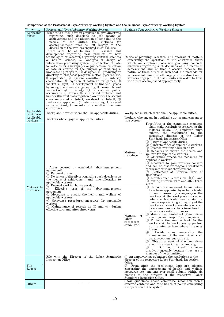## Comparison of the Professional Type Arbitrary Working System and the Business Type Arbitrary Working System

|                            | Professional Type Arbitrary Working System                                                                                                                                                                                                                                                                                                                                                                                                                                                                                                                                                                                                                                                                                                                                                                                                                                                                                                                                                                                                                                                                                                                                                                                                                                                                                                                                                                                    | <b>Business Type Arbitrary Working System</b>                                                                                                                                                                                                                                                                                                                                                                                                                                                                                                                                                                                                                                                                                                                                                                                                                                                                                                                                                                                                                                                                                                                                                                                                                                                                                                                                                                                                                                                                                                                                                                                   |  |  |
|----------------------------|-------------------------------------------------------------------------------------------------------------------------------------------------------------------------------------------------------------------------------------------------------------------------------------------------------------------------------------------------------------------------------------------------------------------------------------------------------------------------------------------------------------------------------------------------------------------------------------------------------------------------------------------------------------------------------------------------------------------------------------------------------------------------------------------------------------------------------------------------------------------------------------------------------------------------------------------------------------------------------------------------------------------------------------------------------------------------------------------------------------------------------------------------------------------------------------------------------------------------------------------------------------------------------------------------------------------------------------------------------------------------------------------------------------------------------|---------------------------------------------------------------------------------------------------------------------------------------------------------------------------------------------------------------------------------------------------------------------------------------------------------------------------------------------------------------------------------------------------------------------------------------------------------------------------------------------------------------------------------------------------------------------------------------------------------------------------------------------------------------------------------------------------------------------------------------------------------------------------------------------------------------------------------------------------------------------------------------------------------------------------------------------------------------------------------------------------------------------------------------------------------------------------------------------------------------------------------------------------------------------------------------------------------------------------------------------------------------------------------------------------------------------------------------------------------------------------------------------------------------------------------------------------------------------------------------------------------------------------------------------------------------------------------------------------------------------------------|--|--|
| Applicable<br>duties       | When it is difficult for an employer to give directives<br>regarding, such decisions as, the means of<br>achievement and the allocation of time due to the<br>nature of the duties, the methods<br>for<br>accomplishment must be left largely to the<br>discretion of the workers engaged in said duties.<br>Duties shall be as follows: 1<br>research and<br>development regarding new products or new<br>technologies or research regarding cultural sciences<br>or natural science, 2 analysis or design of<br>information processing system, 3 collection of data<br>for articles for a newspaper or publication, collection<br>of data or editing for the purpose of producing a<br>broadcasting program, $\Phi$ designer, $\Phi$ producing or<br>directing of broadcast program, motion pictures, etc.<br>(6) copywriter, (7) system consultant, (8) interior<br>coordinator, $\circled{1}$ creation of softwear for games, $\circled{1}$<br>market analyst, 10 development of financial goods<br>by using the finance engeneering, 12 research and<br>instruction at university, 13 a certified public<br>accountant, 4 lawyer, 4 authorized architect and<br>builder (the first class registered architect, the second<br>class registered architect, woodwork architect), $\circledR$<br>real estate appraiser, 10 patent attorney, 13 licensed<br>tax accountant, 19 consultant for small and medium<br>enterprises | Duties of planning, research, and analysis of matters<br>concerning the operation of the enterprise about<br>which an employer does not give any concrete<br>directives regarding such decisions as the means of<br>achievement and of time allocation because the<br>nature of these duties is such that the methods for<br>achievement must be left largely to the direction of<br>workers engaged in the said duties in order to have<br>the duties accomplished appropriately.                                                                                                                                                                                                                                                                                                                                                                                                                                                                                                                                                                                                                                                                                                                                                                                                                                                                                                                                                                                                                                                                                                                                              |  |  |
| Applicable<br>workplace    | Workplace in which there shall be applicable duties.                                                                                                                                                                                                                                                                                                                                                                                                                                                                                                                                                                                                                                                                                                                                                                                                                                                                                                                                                                                                                                                                                                                                                                                                                                                                                                                                                                          | Workplace in which there shall be applicable duties.                                                                                                                                                                                                                                                                                                                                                                                                                                                                                                                                                                                                                                                                                                                                                                                                                                                                                                                                                                                                                                                                                                                                                                                                                                                                                                                                                                                                                                                                                                                                                                            |  |  |
| Applicable<br>workers      | Workers who engage in applicable duties.                                                                                                                                                                                                                                                                                                                                                                                                                                                                                                                                                                                                                                                                                                                                                                                                                                                                                                                                                                                                                                                                                                                                                                                                                                                                                                                                                                                      | Workers who engage in applicable duties and consent to<br>this system.                                                                                                                                                                                                                                                                                                                                                                                                                                                                                                                                                                                                                                                                                                                                                                                                                                                                                                                                                                                                                                                                                                                                                                                                                                                                                                                                                                                                                                                                                                                                                          |  |  |
| Matters to<br>introduce    | . Areas covered by concluded labor-management<br>agreement:<br>1 Range of duties<br>2 No concrete directives regarding such decisions as<br>the means of achievement and time allocation to<br>applicable workers.<br>3 Deemed working hours per day<br>Effective term of the labor-management<br>(4)<br>agreement<br>5 Measures to ensure the health and welfare of<br>applicable workers<br>6 Grievance procedures measures for applicable<br>workers<br>7 Maintenance of records on 5 and 6, during<br>effective term and after three years.                                                                                                                                                                                                                                                                                                                                                                                                                                                                                                                                                                                                                                                                                                                                                                                                                                                                               | Four-fifths of the committee members<br>shall make resolutions concerning the<br>matters below. An employer must<br>the resolutions to the<br>submit<br>respective director of the Labor<br>Standards Inspection Office.<br>(1) Range of applicable duties<br>2 Concrete range of applicable workers<br>2 Deemed working hours per day<br>(4) Measures to ensure the health and<br>Matters<br>to<br>welfare for applicable workers<br>introduce<br>5 Grievance procedures measures for<br>applicable workers<br>6 Measures to gain workers' consent<br>and ban on disadvantageous treatment<br>of workers without their consent.<br>Settlement of Effective Term of<br>(7)<br>Resolutions<br>8 Maintenance records on 4,5 and<br>(6), during effective term and after three<br>years<br>(1) Half of the members of the committee<br>have been appointed by either a trade<br>union organized by a majority of the<br>workers at the workplace concerned<br>where such a trade union exists or a<br>person representing a majority of the<br>workers at a workplace where no such<br>trade union exists for a term fixed in<br>accordance with ordinances.<br>(2) Maintain a minute book of committee<br>of<br>Matters<br>meetings and keep it for three years<br>labor-<br>3 Publicize the minutes book for the<br>management<br>workers at the workplace by putting<br>committee<br>up the minutes book where it is easy<br>to see.<br>Decide rules concerning the<br>(4)<br>management of the committee, such<br>as, convocation, quorum, etc.<br>5 Obtain consent of the committee<br>about rule creation and change $(4)$ . |  |  |
| File<br>$\prime$<br>Report | File with the Director of the Labor Standards<br>Inspection Office                                                                                                                                                                                                                                                                                                                                                                                                                                                                                                                                                                                                                                                                                                                                                                                                                                                                                                                                                                                                                                                                                                                                                                                                                                                                                                                                                            | disadvantageously because they are a<br>member of the committee.<br>(1) An employer has submitted the resolutions to the<br>director of the respective Labor Standards Inspection<br>Office.<br>From after the resolutions date are adopted<br>(2)<br>concerning the enforcement of health and welfare<br>measures etc., an employer shall submit within six<br>months to the director of the respective Labor                                                                                                                                                                                                                                                                                                                                                                                                                                                                                                                                                                                                                                                                                                                                                                                                                                                                                                                                                                                                                                                                                                                                                                                                                  |  |  |
| Others                     |                                                                                                                                                                                                                                                                                                                                                                                                                                                                                                                                                                                                                                                                                                                                                                                                                                                                                                                                                                                                                                                                                                                                                                                                                                                                                                                                                                                                                               | Standards Inspection Office.<br>Show guidelines about committee resolution items'<br>concrete contents and take notice of points concerning<br>the operation of the system.                                                                                                                                                                                                                                                                                                                                                                                                                                                                                                                                                                                                                                                                                                                                                                                                                                                                                                                                                                                                                                                                                                                                                                                                                                                                                                                                                                                                                                                     |  |  |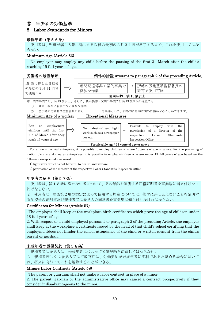## ⑧ 年少者の労働基準

## 8 Labor Standards for Minors

## 最低年齢(第56条)

使用者は、児童が満15歳に達した日以後の最初の3月31日が終了するまで、これを使用してはな らない。

## Minimum Age (Article 56)

No employer may employ any child before the passing of the first 31 March after the child's reaching 15 full years of age.



For a non-industrial enterprise, it is possible to employ children who are 13 years of age or above. For the producing of motion picture and theater enterprises, it is possible to employ children who are under 13 full years of age based on the following exceptional measures:

Permissable age : 13 years of age or above

Inspection Office

1) light work which is not harmful to health and welfare

2) permission of the director of the respective Labor Standards Inspection Office

## 年少者の証明(第57条)

reach 15 years of age.

使用者は、満18歳に満たない者について、その年齢を証明する戸籍証明書を事業場に備え付けなけ ればならない。

2 使用者は、前条第2項の規定によって使用する児童については、修学に差し支えないことを証明す る学校長の証明書及び親権者又は後見人の同意書を事業場に備え付けなければならない。

## Certificates for Minors (Article 57)

 The employer shall keep at the workplace birth certificates which prove the age of children under 18 full years of age.

2. With respect to a child employed pursuant to paragraph 2 of the preceding Article, the employer shall keep at the workplace a certificate issued by the head of that child's school certifying that the employmentdoes not hinder the school attendance of the child or written consent from the child's parent or gurdian.

## 未成年者の労働契約(第58条)

親権者又は後見人は、未成年者に代わって労働契約を締結してはならない。

2 親権者若しくは後見人又は行政官庁は、労働契約が未成年者に不利であると認める場合において

は、将来に向かってこれを解除することができる。

## Minors Labor Contracts (Article 58)

The parent or guardian shall not make a labor contract in place of a minor.

2. The parent, gardian or the administrative office may cancel a contract prospectively if they consider it disadvantageous to the minor.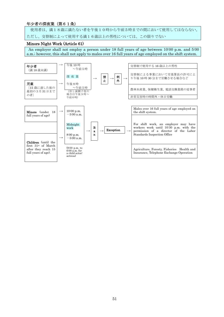## 年少者の深夜業(第61条)

 使用者は、満18歳に満たない者を午後10時から午前5時までの間において使用してはならない。 ただし、交替制によって使用する満16歳以上の男性については、この限りでない

## Minors Night Work (Article 61)

An employer shall not employ a person under 18 full years of age between 10:00 p.m. and 5:00 a.m.; however, this shall not apply to males over 16 full years of age employed on the shift system.

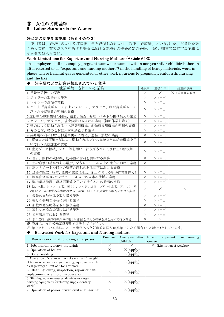## ⑨ 女性の労働基準

## 9 Labor Standards for Women

## 妊産婦の就業制限業務(第64条の3)

使用者は、妊娠中の女性及び産後1年を経過しない女性(以下「妊産婦」という。)を、重量物を取 り扱う業務、有害ガスを発散する場所における業務その他妊産婦の妊娠、出産、哺育等に有害な業務に 就かせてはならない。

## Work Limitations for Expectant and Nursing Mothers (Article 64-3)

 An employer shall not employ pregnant womwn or women within one year after childbirth (herein after referred to as "expectant and nursing mothers") in the handling of heavy materials, work in places where harmful gas is generated or other work injurious to pregnancy, childbirth, nursing and the like.

## 妊産婦などの就業が禁止されている業務

| $\cdot$ - $ \cdot$ $\cdot$ $\cdot$ - $\cdot$ -<br>就業が禁止されている業務                 | 妊娠中      | 産後1年     | 妊産婦以外      |
|--------------------------------------------------------------------------------|----------|----------|------------|
| 1 重量物取扱いの業務                                                                    | $\times$ | $\times$ | × (重量制限有り) |
| 2 ボイラーの取扱いの業務                                                                  | $\times$ | × (申出)   |            |
| 3 ボイラーの溶接の業務                                                                   | $\times$ | × (申出)   |            |
| 4 つり上げ荷重が5トン以上のクレーン、デリック、制限荷重が5トン<br>以上の揚荷装置の運転の業務                             | $\times$ | × (申出)   |            |
| 5運転中の原動機等の掃除、給油、検査、修理、ベルトの掛け換えの業務                                              | $\times$ | × (申出)   |            |
| 6 クレーン、デリック、揚荷装置の玉掛けの業務(補助作業を除く)                                               | $\times$ | × (申出)   |            |
| 7 動力により駆動される土木建築用機械、船舶荷扱用機械の運転の業務                                              | $\times$ | × (申出)   |            |
| 8 丸のこ盤、帯のこ盤に木材を送給する業務                                                          | $\times$ | × (申出)   |            |
| 9 操車場構内における軌道車両の入替え、連結、解放の業務                                                   | $\times$ | × (申出)   |            |
| 10 蒸気または圧縮空気により駆動されるプレス機械または鍛造機械を用<br>いて行う金属加工の業務                              | $\times$ | × (申出)   |            |
| 11 動力プレス機械、シャー等を用いて行う厚さが8ミリ以上の鋼板加工<br>の業務                                      | $\times$ | × (申出)   |            |
| 12 岩石、鉱物の破砕機、粉砕機に材料を供給する業務                                                     | $\times$ | × (申出)   |            |
| 13 土砂崩壊の恐れのある場所、深さ5メートル以上の地穴における業務                                             | $\times$ |          |            |
| 14 高さ5メートル以上の墜落の恐れのある場所における業務                                                  | $\times$ |          |            |
| 15 足場の組立、解体、変更の業務(地上、床上における補助作業を除く)                                            | $\times$ | × (申出)   |            |
| 16 胸高直径が35センチメートル以上の立木の伐採の業務                                                   | $\times$ | × (申出)   |            |
| 17 機械集材装置、運材索道等を用いて行う木材の搬出の業務                                                  | $\times$ | × (申出)   |            |
| 18 鉛、水銀、クロム、ヒ素、黄リン、フッ素、塩素、シアン化水素、アニリン そ<br>の他これらに準ずる有害物のガス、蒸気、粉じんを発散する場所における業務 | $\times$ | $\times$ | $\times$   |
| 19 多量の高熱物体を取り扱う業務                                                              | $\times$ | × (申出)   |            |
| 20 著しく署熱な場所における業務                                                              | $\times$ | × (申出)   |            |
| 21 多量の低温物体を取り扱う業務                                                              | $\times$ | × (申出)   |            |
| 22 著しく寒冷な場所における業務                                                              | $\times$ | × (申出)   |            |
| 23 異常気圧下における業務                                                                 | $\times$ | × (申出)   |            |
| 24 さく岩機、鋲打機等身体に著しい振動を与える機械器具を用いて行う業務                                           | $\times$ | $\times$ |            |

※ 詳細は、女性労働基準規則を参照してください。

※ 禁止されている業務に×、申出があった妊産婦に限り就業禁止となる場合を ×(申出)としています。

## ◆ Restricted Work for Expectant and Nursing mothers

| Ban on working at following enterprises                                                                                                                 | Pregnant | One year after<br>child birth | nursing<br>Except<br>expectant<br>and<br>women |
|---------------------------------------------------------------------------------------------------------------------------------------------------------|----------|-------------------------------|------------------------------------------------|
| 1. Jobs handling heavy materials                                                                                                                        | X        |                               | $\times$ (Limitation of weights)               |
| 2. Operation of boilers                                                                                                                                 | $\times$ | $\times$ (apply)              |                                                |
| 3. Boiler welding                                                                                                                                       | $\times$ | $\times$ (apply)              |                                                |
| 4. Operation of cranes or derricks with a lift weight<br>of 5 tons or more or cargo hoisting, equipment with<br>a cargo weight limit of 5 tons or more. | X        | $\times$ (apply)              |                                                |
| 5. Cleaning, oiling, inspection, repair or belt<br>replacement of a motor in operation                                                                  | X        | $\times$ (apply)              |                                                |
| 6. Slinging work on cranes, derricks or cargo<br>hoisting equipment (excluding supplementary<br>work)                                                   | $\times$ | $\times$ (apply)              |                                                |
| 7. Operation of power-driven civil engineering                                                                                                          | $\times$ | $\times$ (apply)              |                                                |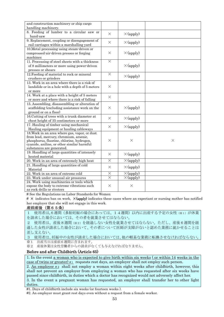| and construction machinery or ship cargo<br>handling machinery.                                                                                                                                                 |          |                             |          |
|-----------------------------------------------------------------------------------------------------------------------------------------------------------------------------------------------------------------|----------|-----------------------------|----------|
| 8. Feeding of lumber to a circular saw or<br>band-saw                                                                                                                                                           | $\times$ | $\times$ (apply)            |          |
| 9. Replacement, coupling or disengagement of<br>rail carriages within a marshalling yard                                                                                                                        | $\times$ | $\times$ (apply)            |          |
| 10. Metal processing using steam-driven or<br>compressed-air-driven presses or forging<br>machines                                                                                                              | $\times$ | $\times$ (apply)            |          |
| 11. Processing of steel sheets with a thickness<br>of 8 millimeters or more using power-driven<br>presses or shears                                                                                             | $\times$ | $\times$ (apply)            |          |
| 12. Feeding of material to rock or mineral<br>crushers or grinders                                                                                                                                              | $\times$ | $\times$ (apply)            |          |
| 13. Work in an area where there is a risk of<br>landslide or in a hole with a depth of 5 meters<br>or more                                                                                                      | $\times$ |                             |          |
| 14. Work at a place with a height of 5 meters<br>or more and where there is a risk of falling                                                                                                                   | $\times$ |                             |          |
| 15. Assembling, disassembling or alteration of<br>scaffolding (excluding assistance work on the<br>ground or on a floor)                                                                                        | $\times$ | $\times$ (apply)            |          |
| 16. Cutting of trees with a trunk diameter at<br>chest height of 35 centimeters or more                                                                                                                         | $\times$ | $\times$ (apply)            |          |
| 17. Hauling of timber using mechanical<br>Hauling equipment or hauling cableways                                                                                                                                | $\times$ | $\times$ (apply)            |          |
| 18. Work in an area where gas, vapor, or dust<br>from lead, mercury, chromium, arsenic,<br>phosphorus, fluorine, chlorine, hydrogen,<br>cyanide, aniline, or other similar harmful<br>substances are generated. | $\times$ | $\times$                    | $\times$ |
| 19. Handling of large quantities of intensely<br>heated material                                                                                                                                                | $\times$ | $\times$ (apply)            |          |
| 20. Work in an area of extremely high heat                                                                                                                                                                      | $\times$ | $\times$ (apply)            |          |
| 21. Handling of large quantities of cold<br>Material                                                                                                                                                            | $\times$ | $\times$ (apply)            |          |
| 22. Work in an area of extreme cold                                                                                                                                                                             | $\times$ | $\overline{\times}$ (apply) |          |
| 23. Work under unusual air pressures                                                                                                                                                                            | $\times$ | $\times$ (apply)            |          |
| 24. Work using machineries or tools which<br>expose the body to extreme vibrations such<br>as rock drills or riveters                                                                                           | $\times$ | X                           |          |

# See the Regulations on Labor Standards for Women

 $\#\times$  indicates ban on work,  $\times$  (apply) indicates these cases where an expectant or nursing mother has notified her employer that she will not engage in this work.

## 産前産後(第65条)

- 1 使用者は,6週間(多胎妊娠の場合にあっては、14週間)以内に出産する予定の女性(※1)が休業 を請求した場合においては、その者を就業させてはならない。
- 2 使用者は、産後8週間(※2)を経過しない女性を就業させてはならない。ただし、産後6週間を経 過した女性が請求した場合において、その者について医師が支障がないと認めた業務に就かせることは 差し支えない。
- 3 使用者は、妊娠中の女性が請求した場合においては、他の軽易な業務に転換させなければならない。 ※1 出産当日は産前6週間に含まれます。
- ※2 産後休業は女性労働者からの請求がなくても与えなければなりません。

## Before and after Childbirth (Article 65)

1. In the event a woman who is expected to give birth within six weeks ( or within 14 weeks in the case of twins or greater)  $\#_1$  requests rest days, an employer shall not employ such person. 2. An employer  $\#2$  shall not employ a woman within eight weeks after childbirth, however, this shall not prevent an employer from employing a woman who has requested after six weeks have

passed since childbirth, in duties which a doctor has recognized would not adversely affect her. 3. In the event a pregnant woman has requested, an employer shall transfer her to other light duties.

#1. Days of childbirth include six weeks (or fourteen weeks ).

#2. An employer must grant rest days even without a request from a female worker.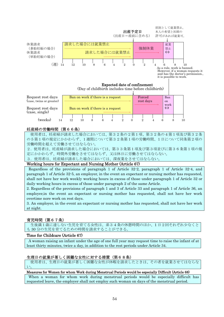

## 妊産婦の労働時間(第66条)

 使用者は、妊産婦が請求した場合においては、第32条の2第1項、第32条の4第1項及び第32条 の5第1項の規定にかかわらず、1週間について第32条第1項の労働時間、1日について同条第2項の 労働時間を超えて労働させてはならない。

2.使用者は、妊産婦が請求した場合においては、第33条第1項及び第3項並びに第36条第1項の規 定にかかわらず、時間外労働をさせてはならず、又は休日に労働させてはならない。

3.使用者は、妊産婦が請求した場合においては、深夜業をさせてはならない。

## Working hours for Expectant and Nursing Mother (Article 67)

 Regardless of the provisions of paragraph 1 of Article 32-2, paragraph 1 of Article 32-4, and paragraph 1 of Article 32-5, an employer, in the event an expectant or nursing mother has requested, shall not have her work weekly working hours in excess of those under paragraph 1 of Article 32 or daily working hours in excess of those under paragraph 2 of the same Article.

2. Regardless of the provisions of paragraph 1 and 3 of Article 33 and paragraph 1 of Article 36, an employer,in the event an expectant or nursing mother has requested, shall not have her work overtime nore work on rest days.

3. An employer, in the event an expectant or nursing mother has requested, shall not have her work at night.

## 育児時間(第67条)

生後満1歳に達しない生児を育てる女性は、弟34条の休憩時間のほか、1 日2回それぞれ少なくと も 30 分の生児を育てるための時間を請求することができる。

## Time for Childcare (Article 67)

 A woman raising an infant under the age of one full year may request time to raise the infant of at least thirty minutes, twice a day, in addition to the rest periods under Article 34.

## 生理日の就業が著しく困難な女性に対する措置(第68条)

使用者は、生理日の就業が著しく困難な女性が休暇を請求したときは、その者を就業させてはならな い。

## Measures for Women for whom Work during Menstrual Periods would be especially Difficult (Article 68)

 When a woman for whom work during menstrual periods would be especially difficult has requested leave, the employer shall not employ such woman on days of the menstrual period.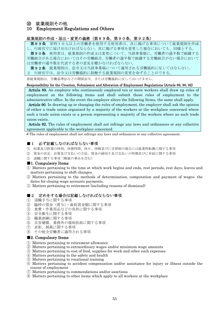## ⑩ 就業規則その他

## 10 Employment Regulations and Others

## 就業規則の作成・届出・変更の義務(第89条、第90条、第92条)

第89条 常時10人以上の労働者を使用する使用者は、次に掲げる事項について就業規則を作成 し、行政官庁に届け出なければならない。次に掲げる事項を変更した場合においても、同様とする。 第90条 使用者は、就業規則の作成又は変更について、当該事業場に、労働者の過半数で組織する 労働組合がある場合においてはその労働組合、労働者の過半数で組織する労働組合がない場合において

は労働者の過半数を代表する者の意見を聴かなければならない。

第92条 就業規則は、法令又は当該事業場について適用される労働協約に反してはならない。

2 行政官庁は、法令又は労働協約に抵触する就業規則の変更を命ずることができる。

※就業規則は、労働基準法などの関係法令、または労働協約に反してはいけません。

## Responsibility for the Creation, Submission and Alteration of Employment Regulations (Article 89, 90, 92)

Article 89. An employer who continuously employed ten or more workers shall draw up rules of employment on the following items and shall submit those rules of employment to the administrative office. In the event the employer alters the following Items, the same shall apply.

Article 90. In drawing up or changing the rules of employment, the employer shall ask the opinion of either a trade union organized by a majority of the workers at the workplace concerned where such a trade union exists or a person representing a majority of the workers where no such trade union exists.

Article 92. The rules of employment shall not infringe any laws and ordinances or any collective agreement applicable to the workplace concerned.

# The rules of employment shall not infringe any laws and ordinances or any collective agreement.

## ■1 必ず記載しなければならない事項

- ① 始業及び終業の時刻、休憩時間、休日、休暇並びに交替制の場合には就業時転換に関する事項
- ② 賃金の決定、計算及び支払いの方法、賃金の締切り及び支払いの時期並びに昇給に関する事項
- ③ 退職に関する事項(解雇の事由を含む)

## ■1. Compulsory Items

- ① Matters pertaining to the time at which work begins and ends, rest periods, rest days, leaves and matters pertaining to shift changes.
- ② Matters pertaining to the methods of determination, computation and payment of wages; the dates for closing wage accounts payments.
- ③ Matters pertaining to retirement (including reasons of dismissal)

## ■2 定めをする場合は記載しなければならない事項

- ① 退職手当に関する事項
- ② 臨時の賃金(賞与)・最低賃金額に関する事項
- ③ 食費・作業用品などの負担に関する事項
- ④ 安全衛生に関する事項
- ⑤ 職業訓練に関する事項
- ⑥ 災害補償、業務外の傷病扶助に関する事項
- ⑦ 表彰、制裁に関する事項
- ⑧ その他全労働者に適用される事項

## ■2. Compulsory Items

- ① Matters pertaining to retirement allowance
- ② Matters pertaining to extraordinary wages and/or minimum wage amounts
- ③ Matters pertaining to cost of food, supplies for work and other such expenses
- ④ Matters pertaining to the safety and health
- ⑤ Matters pertaining to vocational training
- ⑥ Matters pertaining to accident compensation and/or assistance for injury or illness outside the course of employment
- ⑦ Matters pertaining to commendations and/or sanctions
- ⑧ Matters pertaining to other items which apply to all workers at the workplace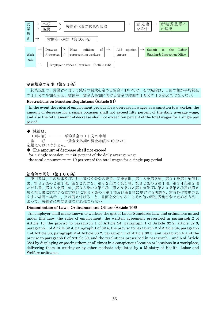

## 制裁規定の制限(第91条)

 就業規則で、労働者に対して減給の制裁を定める場合においては、その減給は、1回の額が平均賃金 の1日分の半額を超え、総額が一賃金支払額における賃金の総額の10分の1を超えてはならない。

## Restrictions on Sanction Regulations (Article 91)

 In the event the rules of employment provide for a decrease in wages as a sanction to a worker, the amount of decrease for a single occasion shall not exceed fifty percent of the daily average wage, and also the total amount of decrease shall not exceed ten percent of the total wages for a single pay period.

## ◆ 減給は、

| 1回の額 | $\overline{\phantom{a}}$ and $\overline{\phantom{a}}$ and $\overline{\phantom{a}}$ | 平均賃金の1日分の半額               |
|------|------------------------------------------------------------------------------------|---------------------------|
|      |                                                                                    | 総 額 ––– 一賃金支払期の賃金総額の10分の1 |
|      | を超えてはいけません。                                                                        |                           |

## ◆ The amount of decrease shall not exceed

for a single occasion  $---50$  percent of the daily average wage the total amount----------- 10 percent of the total wages for a single pay period

## 法令等の周知(第106条)

 使用者は、この法律及びこれに基づく命令の要旨、就業規則、第18条第2項、第21条第1項但し 書、第32条の2第1項、第32条の3、第32条の4第1項、第32条の5第1項、第34条第2項 ただし書、第36条第1項、第38条の2第2項、第38条の3第1項並びに第39条第5項及び第6 項ただし書に規定する協定並びに第38条の4第1項及び第5項に規定する決議を、常時各作業場の見 やすい場所へ掲示し、又は備え付けること、書面を交付することその他の厚生労働省令で定める方法に よって、労働者に周知させなければならない。

## Dissemination of Laws, Ordinances and Others (Article 106)

 An employer shall make known to workers the gist of Labor Standards Law and ordinances issued under this Law, the rules of employment, the written agreement prescribed in paragraph 2 of Article 18, the proviso to paragraph 1 of Article 24, paragraph 1 of Article 32-2, article 32-3, paragraph 1 of Article 32-4, paragraph 1 of 32-5, the proviso to paragraph 2 of Article 34, paragraph 1 of Article 36, paragraph 2 of Article 38-2, paragraph 1 of Article 38-3, and paragraph 5 and the proviso to paragraph 6 of Article 39, and the resolutions prescribed in paragraph 1 and 5 of Article 38-4 by displaying or posting them at all times in a conspicuous location or locations in a workplace, delivering them in writing or by other methods stipulated by a Ministry of Health, Labor and Welfare ordinance.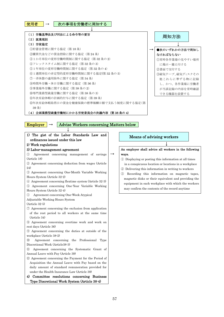